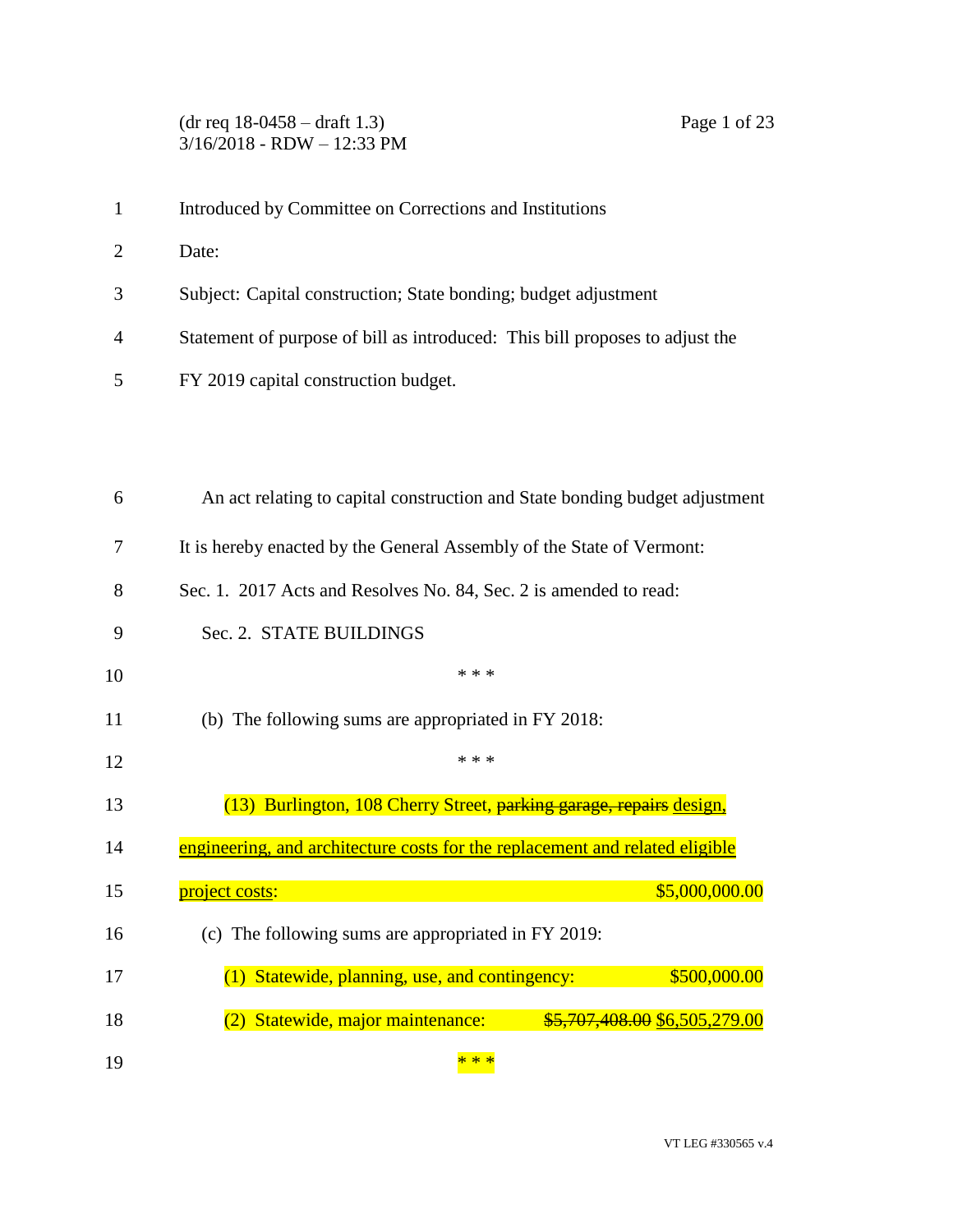(dr req 18-0458 – draft 1.3) Page 1 of 23 3/16/2018 - RDW – 12:33 PM

- Introduced by Committee on Corrections and Institutions
- Date:
- Subject: Capital construction; State bonding; budget adjustment
- Statement of purpose of bill as introduced: This bill proposes to adjust the
- FY 2019 capital construction budget.

| 6  | An act relating to capital construction and State bonding budget adjustment  |
|----|------------------------------------------------------------------------------|
| 7  | It is hereby enacted by the General Assembly of the State of Vermont:        |
| 8  | Sec. 1. 2017 Acts and Resolves No. 84, Sec. 2 is amended to read:            |
| 9  | Sec. 2. STATE BUILDINGS                                                      |
| 10 | * * *                                                                        |
| 11 | (b) The following sums are appropriated in FY 2018:                          |
| 12 | * * *                                                                        |
| 13 | (13) Burlington, 108 Cherry Street, parking garage, repairs design,          |
| 14 | engineering, and architecture costs for the replacement and related eligible |
| 15 | \$5,000,000.00<br><u>project costs:</u>                                      |
| 16 | (c) The following sums are appropriated in FY 2019:                          |
| 17 | Statewide, planning, use, and contingency:<br>\$500,000.00<br>(1)            |
| 18 | (2) Statewide, major maintenance:<br>\$5,707,408.00 \$6,505,279.00           |
| 19 | * * *                                                                        |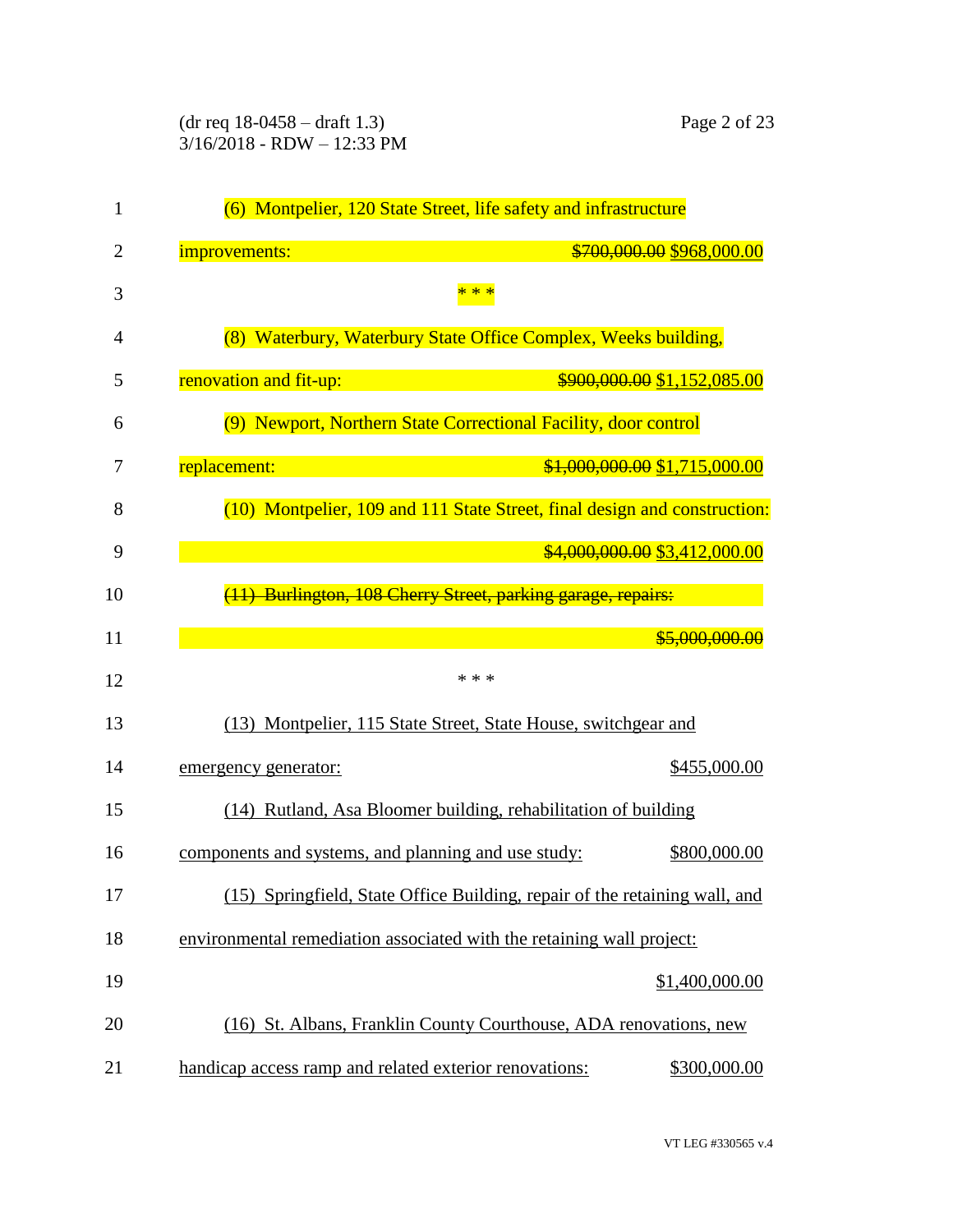| 1              | (6) Montpelier, 120 State Street, life safety and infrastructure                                                               |                               |
|----------------|--------------------------------------------------------------------------------------------------------------------------------|-------------------------------|
| $\overline{2}$ | improvements:                                                                                                                  | \$700,000.00 \$968,000.00     |
| 3              | * * *                                                                                                                          |                               |
| 4              | (8) Waterbury, Waterbury State Office Complex, Weeks building,                                                                 |                               |
| 5              | renovation and fit-up:                                                                                                         | \$900,000.00 \$1,152,085.00   |
| 6              | (9) Newport, Northern State Correctional Facility, door control                                                                |                               |
| 7              | replacement:<br>and the state of the state of the state of the state of the state of the state of the state of the state of th | \$1,000,000.00 \$1,715,000.00 |
| 8              | (10) Montpelier, 109 and 111 State Street, final design and construction:                                                      |                               |
| 9              |                                                                                                                                | \$4,000,000.00 \$3,412,000.00 |
| 10             | (11) Burlington, 108 Cherry Street, parking garage, repairs:                                                                   |                               |
| 11             |                                                                                                                                | \$5,000,000.00                |
| 12             | * * *                                                                                                                          |                               |
| 13             | (13) Montpelier, 115 State Street, State House, switchgear and                                                                 |                               |
| 14             | emergency generator:                                                                                                           | \$455,000.00                  |
| 15             | (14) Rutland, Asa Bloomer building, rehabilitation of building                                                                 |                               |
| 16             | components and systems, and planning and use study:                                                                            | \$800,000.00                  |
| 17             | (15) Springfield, State Office Building, repair of the retaining wall, and                                                     |                               |
| 18             | environmental remediation associated with the retaining wall project:                                                          |                               |
| 19             |                                                                                                                                | \$1,400,000.00                |
| 20             | (16) St. Albans, Franklin County Courthouse, ADA renovations, new                                                              |                               |
| 21             | handicap access ramp and related exterior renovations:                                                                         | \$300,000.00                  |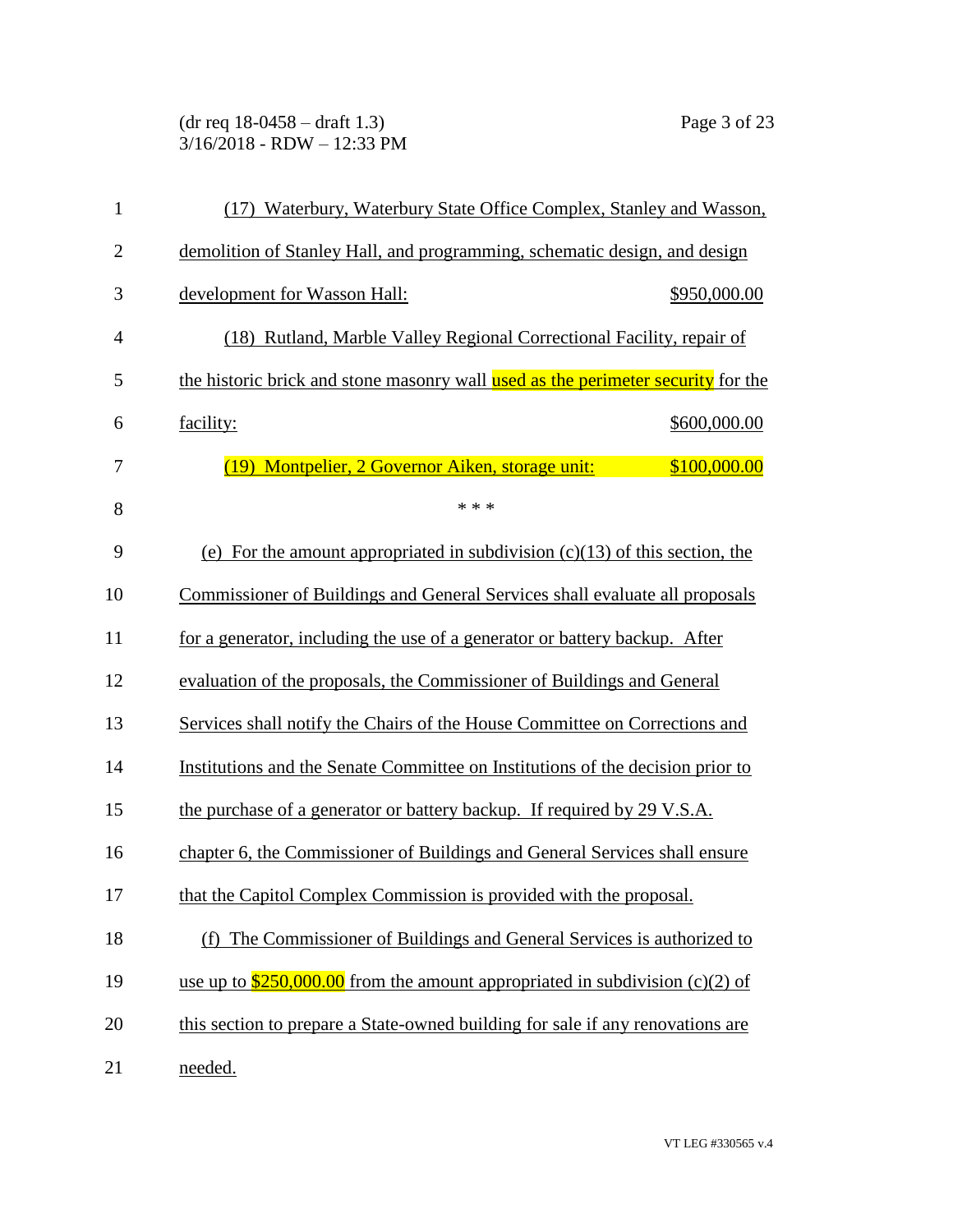(dr req 18-0458 – draft 1.3) Page 3 of 23 3/16/2018 - RDW – 12:33 PM

| 1              | (17) Waterbury, Waterbury State Office Complex, Stanley and Wasson,                     |
|----------------|-----------------------------------------------------------------------------------------|
| $\overline{2}$ | demolition of Stanley Hall, and programming, schematic design, and design               |
| 3              | development for Wasson Hall:<br>\$950,000.00                                            |
| $\overline{4}$ | (18) Rutland, Marble Valley Regional Correctional Facility, repair of                   |
| 5              | the historic brick and stone masonry wall used as the perimeter security for the        |
| 6              | facility:<br>\$600,000.00                                                               |
| 7              | \$100,000.00<br>Montpelier, 2 Governor Aiken, storage unit:<br>(19)                     |
| 8              | * * *                                                                                   |
| 9              | (e) For the amount appropriated in subdivision $(c)(13)$ of this section, the           |
| 10             | <b>Commissioner of Buildings and General Services shall evaluate all proposals</b>      |
| 11             | for a generator, including the use of a generator or battery backup. After              |
| 12             | evaluation of the proposals, the Commissioner of Buildings and General                  |
| 13             | Services shall notify the Chairs of the House Committee on Corrections and              |
| 14             | Institutions and the Senate Committee on Institutions of the decision prior to          |
| 15             | the purchase of a generator or battery backup. If required by 29 V.S.A.                 |
| 16             | chapter 6, the Commissioner of Buildings and General Services shall ensure              |
| 17             | that the Capitol Complex Commission is provided with the proposal.                      |
| 18             | The Commissioner of Buildings and General Services is authorized to<br>(f)              |
| 19             | use up to $\frac{$250,000.00}{2}$ from the amount appropriated in subdivision (c)(2) of |
| 20             | this section to prepare a State-owned building for sale if any renovations are          |
| 21             | needed.                                                                                 |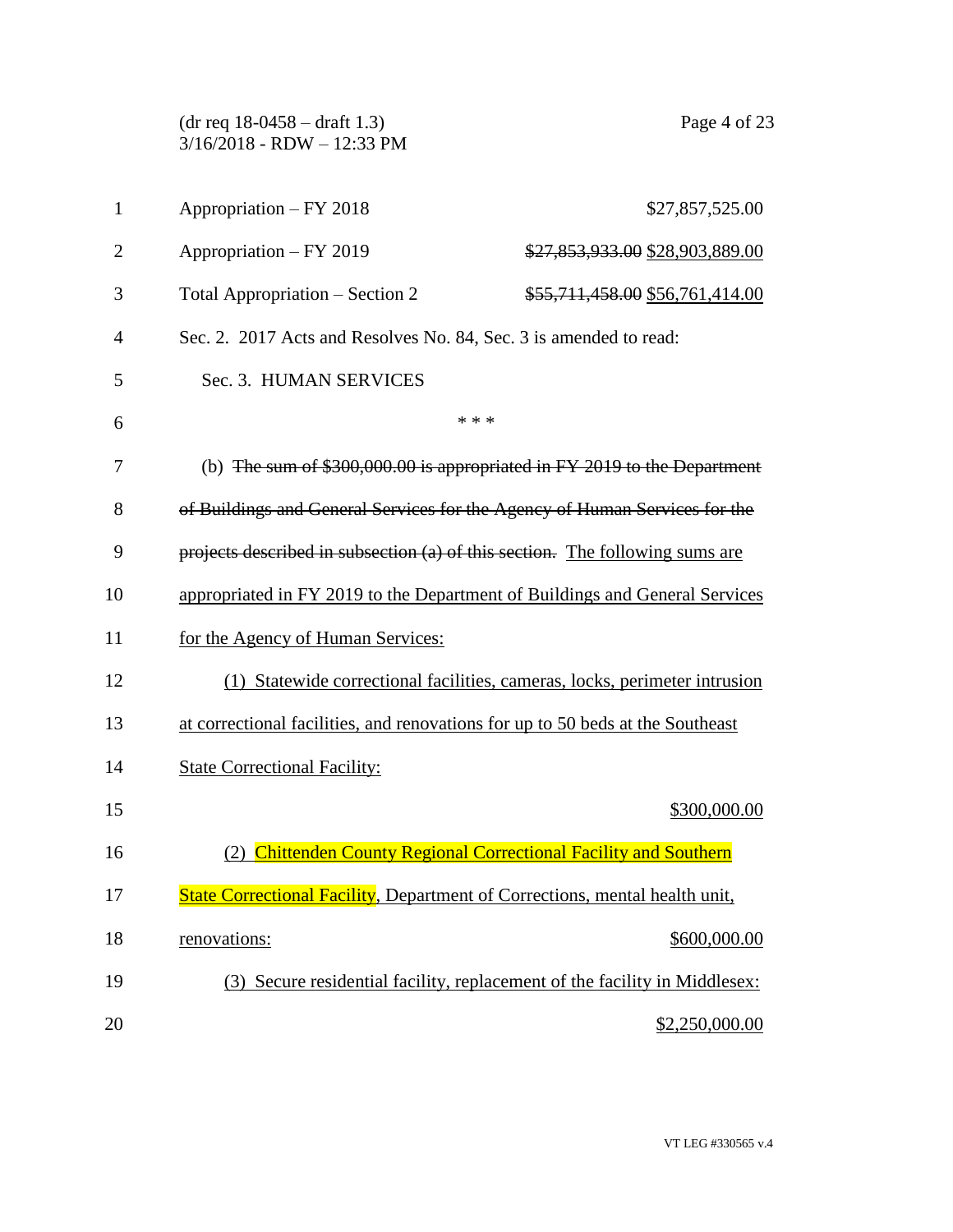(dr req 18-0458 – draft 1.3) Page 4 of 23 3/16/2018 - RDW – 12:33 PM 1 Appropriation – FY 2018 \$27,857,525.00 2 Appropriation – FY 2019 \$27,853,933.00 \$28,903,889.00 3 Total Appropriation – Section 2  $$55,711,458.00$  \$56,761,414.00 Sec. 2. 2017 Acts and Resolves No. 84, Sec. 3 is amended to read: Sec. 3. HUMAN SERVICES  $***$  (b) The sum of \$300,000.00 is appropriated in FY 2019 to the Department of Buildings and General Services for the Agency of Human Services for the projects described in subsection (a) of this section. The following sums are appropriated in FY 2019 to the Department of Buildings and General Services for the Agency of Human Services: (1) Statewide correctional facilities, cameras, locks, perimeter intrusion at correctional facilities, and renovations for up to 50 beds at the Southeast State Correctional Facility: \$300,000.00 (2) Chittenden County Regional Correctional Facility and Southern 17 State Correctional Facility, Department of Corrections, mental health unit, 18 renovations: \$600,000.00 (3) Secure residential facility, replacement of the facility in Middlesex: 20 \$2,250,000.00 \$2,250,000.00 \$2,250,000.00 \$2,250,000.00 \$2,250,000.00 \$2,250,000.00 \$2,250,000.00 \$2,250,000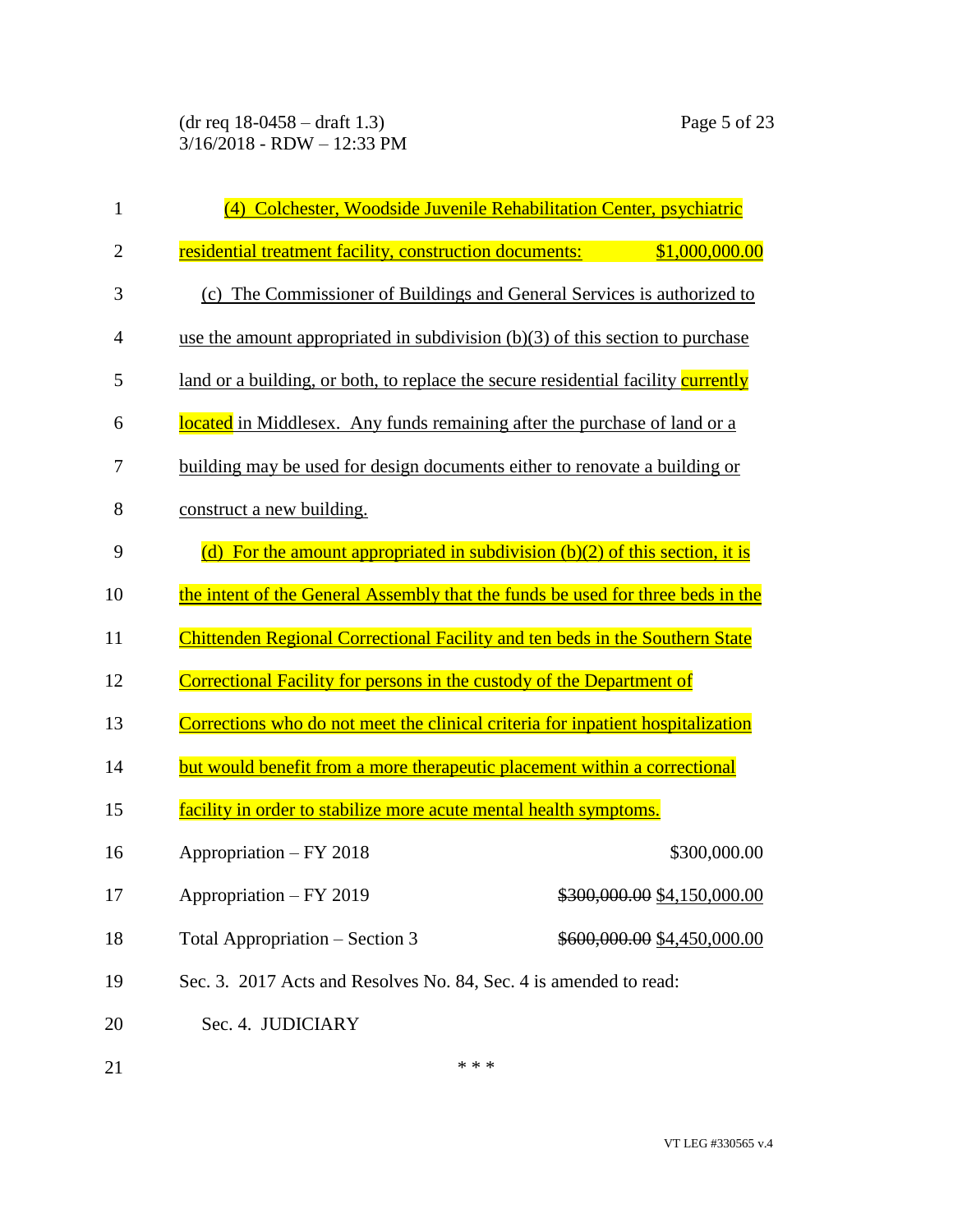(dr req 18-0458 – draft 1.3) Page 5 of 23 3/16/2018 - RDW – 12:33 PM

| 1              | (4) Colchester, Woodside Juvenile Rehabilitation Center, psychiatric              |                             |
|----------------|-----------------------------------------------------------------------------------|-----------------------------|
| $\overline{c}$ | residential treatment facility, construction documents:                           | \$1,000,000.00              |
| 3              | (c) The Commissioner of Buildings and General Services is authorized to           |                             |
| 4              | use the amount appropriated in subdivision $(b)(3)$ of this section to purchase   |                             |
| 5              | land or a building, or both, to replace the secure residential facility currently |                             |
| 6              | located in Middlesex. Any funds remaining after the purchase of land or a         |                             |
| 7              | building may be used for design documents either to renovate a building or        |                             |
| 8              | construct a new building.                                                         |                             |
| 9              | (d) For the amount appropriated in subdivision $(b)(2)$ of this section, it is    |                             |
| 10             | the intent of the General Assembly that the funds be used for three beds in the   |                             |
| 11             | Chittenden Regional Correctional Facility and ten beds in the Southern State      |                             |
| 12             | Correctional Facility for persons in the custody of the Department of             |                             |
| 13             | Corrections who do not meet the clinical criteria for inpatient hospitalization   |                             |
| 14             | but would benefit from a more therapeutic placement within a correctional         |                             |
| 15             | facility in order to stabilize more acute mental health symptoms.                 |                             |
| 16             | Appropriation - FY 2018                                                           | \$300,000.00                |
| 17             | Appropriation - FY 2019                                                           | \$300,000.00 \$4,150,000.00 |
| 18             | Total Appropriation – Section 3                                                   | \$600,000.00 \$4,450,000.00 |
| 19             | Sec. 3. 2017 Acts and Resolves No. 84, Sec. 4 is amended to read:                 |                             |
| 20             | Sec. 4. JUDICIARY                                                                 |                             |

21  $***$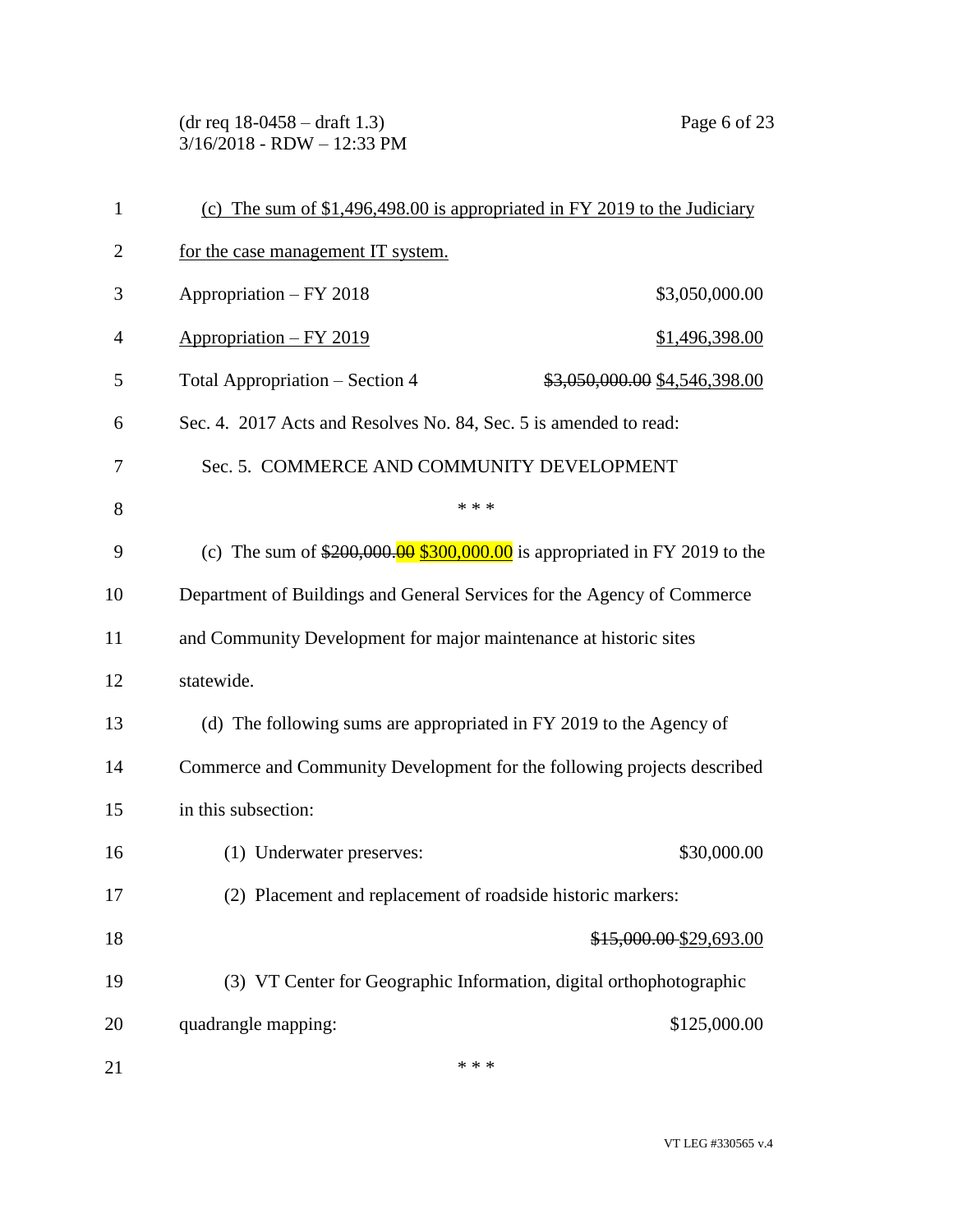(dr req 18-0458 – draft 1.3) Page 6 of 23 3/16/2018 - RDW – 12:33 PM

| $\mathbf{1}$ | (c) The sum of $$1,496,498.00$ is appropriated in FY 2019 to the Judiciary   |                               |
|--------------|------------------------------------------------------------------------------|-------------------------------|
| 2            | for the case management IT system.                                           |                               |
| 3            | Appropriation - FY 2018                                                      | \$3,050,000.00                |
| 4            | Appropriation - FY 2019                                                      | \$1,496,398.00                |
| 5            | Total Appropriation - Section 4                                              | \$3,050,000.00 \$4,546,398.00 |
| 6            | Sec. 4. 2017 Acts and Resolves No. 84, Sec. 5 is amended to read:            |                               |
| 7            | Sec. 5. COMMERCE AND COMMUNITY DEVELOPMENT                                   |                               |
| 8            | * * *                                                                        |                               |
| 9            | (c) The sum of $$200,000.00$ $$300,000.00$ is appropriated in FY 2019 to the |                               |
| 10           | Department of Buildings and General Services for the Agency of Commerce      |                               |
| 11           | and Community Development for major maintenance at historic sites            |                               |
| 12           | statewide.                                                                   |                               |
| 13           | (d) The following sums are appropriated in FY 2019 to the Agency of          |                               |
| 14           | Commerce and Community Development for the following projects described      |                               |
| 15           | in this subsection:                                                          |                               |
| 16           | (1) Underwater preserves:                                                    | \$30,000.00                   |
| 17           | (2) Placement and replacement of roadside historic markers:                  |                               |
| 18           |                                                                              | \$15,000.00 \$29,693.00       |
| 19           | (3) VT Center for Geographic Information, digital orthophotographic          |                               |
| 20           | quadrangle mapping:                                                          | \$125,000.00                  |
| 21           | * * *                                                                        |                               |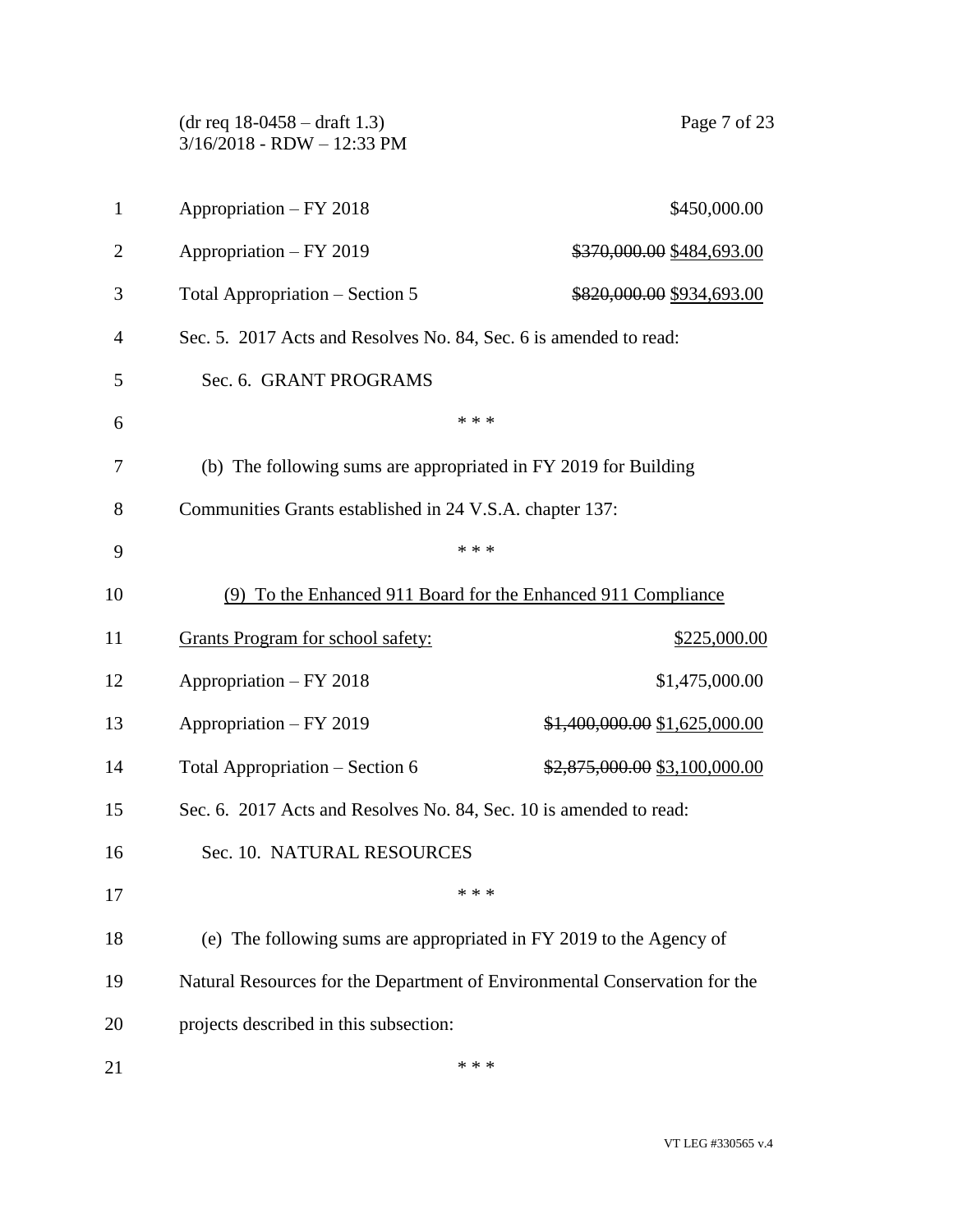|                | $(dr \text{ req } 18-0458 - draft 1.3)$<br>$3/16/2018$ - RDW - 12:33 PM    | Page 7 of 23                                              |
|----------------|----------------------------------------------------------------------------|-----------------------------------------------------------|
| $\mathbf{1}$   | Appropriation - FY 2018                                                    | \$450,000.00                                              |
| $\overline{2}$ | Appropriation - FY 2019                                                    | <del>\$370,000.00</del> \$484,693.00                      |
| 3              | Total Appropriation – Section 5                                            | \$820,000.00 \$934,693.00                                 |
| $\overline{4}$ | Sec. 5. 2017 Acts and Resolves No. 84, Sec. 6 is amended to read:          |                                                           |
| 5              | Sec. 6. GRANT PROGRAMS                                                     |                                                           |
| 6              | * * *                                                                      |                                                           |
| 7              | (b) The following sums are appropriated in FY 2019 for Building            |                                                           |
| 8              | Communities Grants established in 24 V.S.A. chapter 137:                   |                                                           |
| 9              | * * *                                                                      |                                                           |
| 10             | (9)                                                                        | To the Enhanced 911 Board for the Enhanced 911 Compliance |
| 11             | <b>Grants Program for school safety:</b>                                   | \$225,000.00                                              |
| 12             | Appropriation - FY 2018                                                    | \$1,475,000.00                                            |
| 13             | Appropriation - FY 2019                                                    | $$1,400,000.00$ \$1,625,000.00                            |
| 14             | Total Appropriation - Section 6                                            | $\frac{$2,875,000.00}{$3,100,000.00}$                     |
| 15             | Sec. 6. 2017 Acts and Resolves No. 84, Sec. 10 is amended to read:         |                                                           |
| 16             | Sec. 10. NATURAL RESOURCES                                                 |                                                           |
| 17             | * * *                                                                      |                                                           |
| 18             | (e) The following sums are appropriated in FY 2019 to the Agency of        |                                                           |
| 19             | Natural Resources for the Department of Environmental Conservation for the |                                                           |
| 20             | projects described in this subsection:                                     |                                                           |
| 21             | * * *                                                                      |                                                           |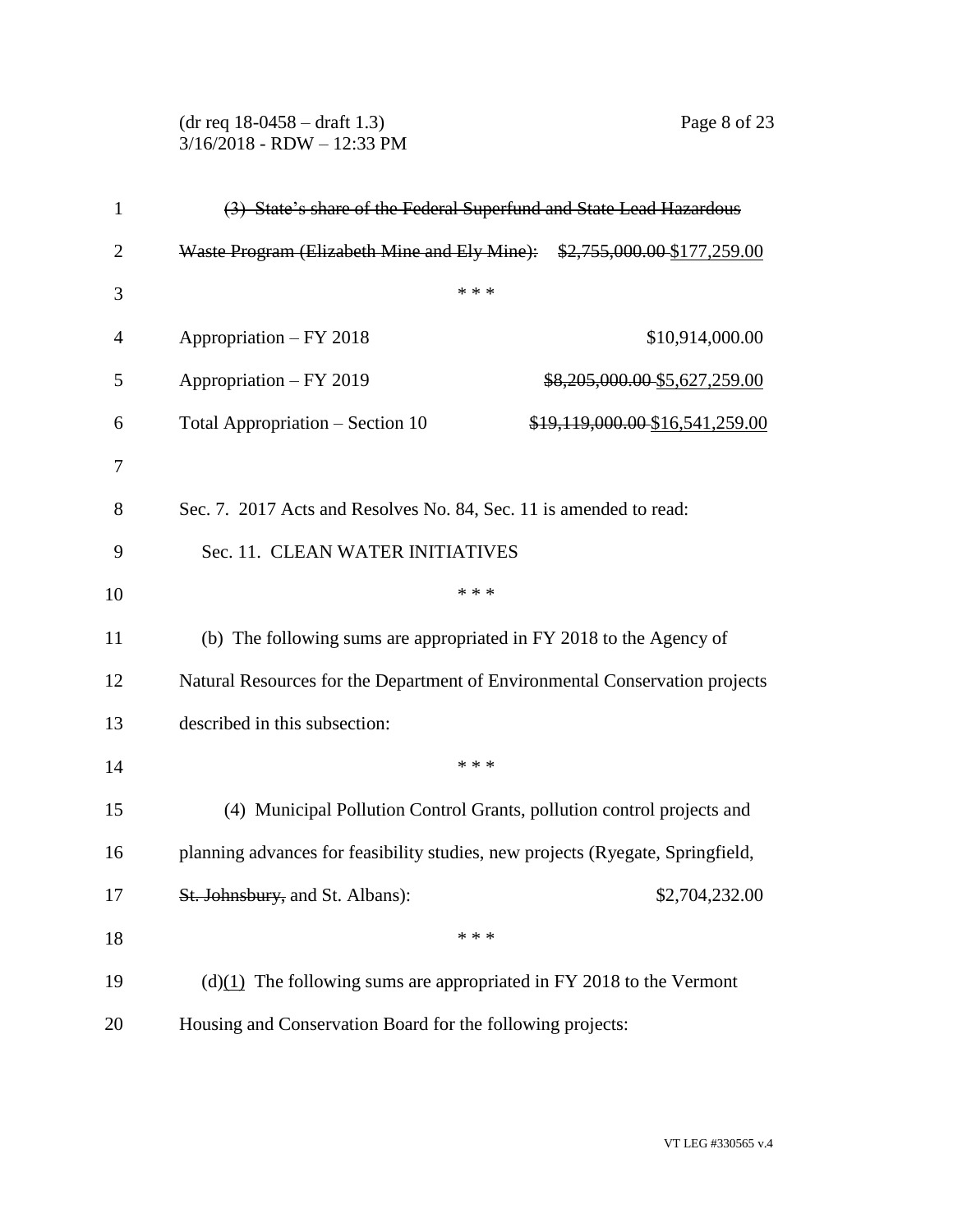(dr req 18-0458 – draft 1.3) Page 8 of 23 3/16/2018 - RDW – 12:33 PM

| $\mathbf{1}$   | (3) State's share of the Federal Superfund and State Lead Hazardous            |  |
|----------------|--------------------------------------------------------------------------------|--|
| $\overline{2}$ | Waste Program (Elizabeth Mine and Ely Mine): \$2,755,000.00 \$177,259.00       |  |
| 3              | * * *                                                                          |  |
| 4              | Appropriation - FY 2018<br>\$10,914,000.00                                     |  |
| 5              | Appropriation - FY 2019<br>\$8,205,000.00 \$5,627,259.00                       |  |
| 6              | Total Appropriation – Section 10<br>\$19,119,000.00 \$16,541,259.00            |  |
| 7              |                                                                                |  |
| 8              | Sec. 7. 2017 Acts and Resolves No. 84, Sec. 11 is amended to read:             |  |
| 9              | Sec. 11. CLEAN WATER INITIATIVES                                               |  |
| 10             | * * *                                                                          |  |
| 11             | (b) The following sums are appropriated in FY 2018 to the Agency of            |  |
| 12             | Natural Resources for the Department of Environmental Conservation projects    |  |
| 13             | described in this subsection:                                                  |  |
| 14             | * * *                                                                          |  |
| 15             | (4) Municipal Pollution Control Grants, pollution control projects and         |  |
| 16             | planning advances for feasibility studies, new projects (Ryegate, Springfield, |  |
| 17             | \$2,704,232.00<br>St. Johnsbury, and St. Albans):                              |  |
| 18             | * * *                                                                          |  |
| 19             | $(d)(1)$ The following sums are appropriated in FY 2018 to the Vermont         |  |
| 20             | Housing and Conservation Board for the following projects:                     |  |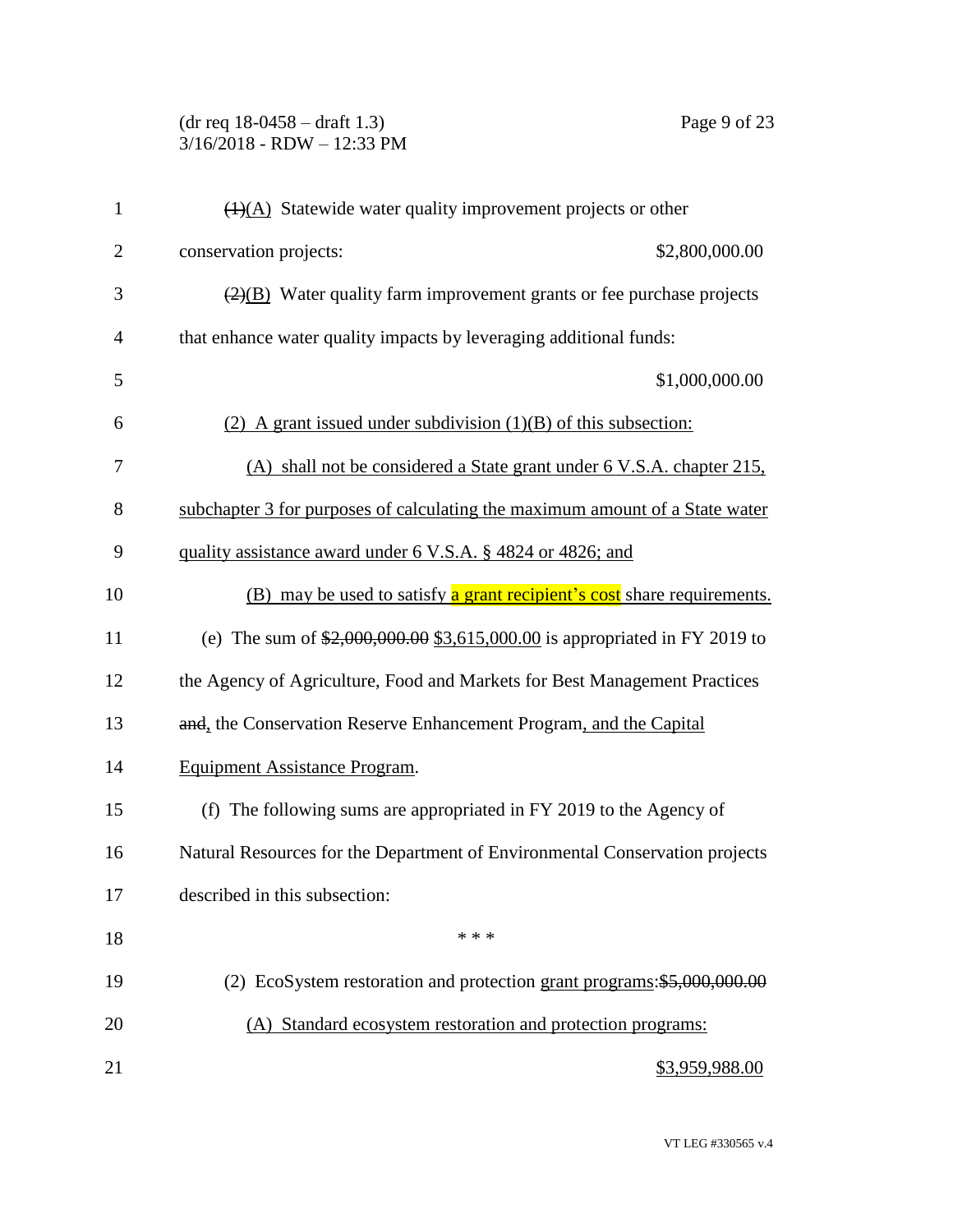(dr req 18-0458 – draft 1.3) Page 9 of 23 3/16/2018 - RDW – 12:33 PM

| $\mathbf{1}$   | $\overline{(1)(A)}$ Statewide water quality improvement projects or other                 |
|----------------|-------------------------------------------------------------------------------------------|
| $\overline{2}$ | conservation projects:<br>\$2,800,000.00                                                  |
| 3              | $\left(\frac{2}{2}\right)$ Water quality farm improvement grants or fee purchase projects |
| $\overline{4}$ | that enhance water quality impacts by leveraging additional funds:                        |
| 5              | \$1,000,000.00                                                                            |
| 6              | (2) A grant issued under subdivision $(1)(B)$ of this subsection:                         |
| 7              | (A) shall not be considered a State grant under 6 V.S.A. chapter 215.                     |
| 8              | subchapter 3 for purposes of calculating the maximum amount of a State water              |
| 9              | quality assistance award under 6 V.S.A. § 4824 or 4826; and                               |
| 10             | (B) may be used to satisfy a grant recipient's cost share requirements.                   |
| 11             | (e) The sum of $$2,000,000.00$ \$3,615,000.00 is appropriated in FY 2019 to               |
| 12             | the Agency of Agriculture, Food and Markets for Best Management Practices                 |
| 13             | and, the Conservation Reserve Enhancement Program, and the Capital                        |
| 14             | Equipment Assistance Program.                                                             |
| 15             | (f) The following sums are appropriated in FY 2019 to the Agency of                       |
| 16             | Natural Resources for the Department of Environmental Conservation projects               |
| 17             | described in this subsection:                                                             |
| 18             | * * *                                                                                     |
| 19             | (2) EcoSystem restoration and protection grant programs: \$5,000,000.00                   |
| 20             | (A) Standard ecosystem restoration and protection programs:                               |
| 21             | \$3,959,988.00                                                                            |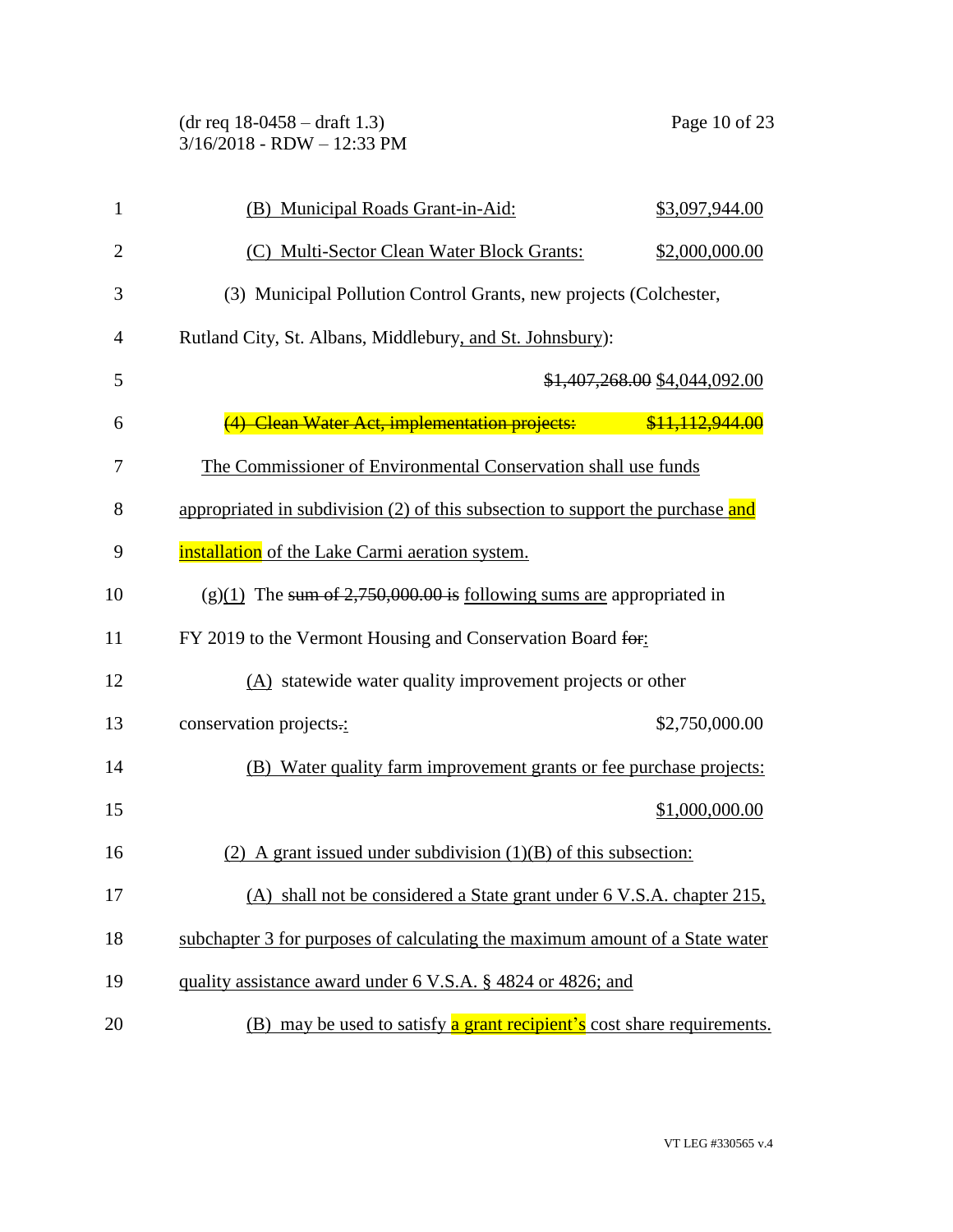(dr req 18-0458 – draft 1.3) Page 10 of 23 3/16/2018 - RDW – 12:33 PM

| $\mathbf{1}$   | (B) Municipal Roads Grant-in-Aid:                                              | \$3,097,944.00                |
|----------------|--------------------------------------------------------------------------------|-------------------------------|
| $\overline{2}$ | (C) Multi-Sector Clean Water Block Grants:                                     | \$2,000,000.00                |
| 3              | (3) Municipal Pollution Control Grants, new projects (Colchester,              |                               |
| $\overline{4}$ | Rutland City, St. Albans, Middlebury, and St. Johnsbury):                      |                               |
| 5              |                                                                                | \$1,407,268.00 \$4,044,092.00 |
| 6              | (4) Clean Water Act, implementation projects:                                  | \$11,112,944.00               |
| 7              | The Commissioner of Environmental Conservation shall use funds                 |                               |
| 8              | appropriated in subdivision (2) of this subsection to support the purchase and |                               |
| 9              | installation of the Lake Carmi aeration system.                                |                               |
| 10             | $(g)(1)$ The sum of 2,750,000.00 is following sums are appropriated in         |                               |
| 11             | FY 2019 to the Vermont Housing and Conservation Board for:                     |                               |
| 12             | $(A)$ statewide water quality improvement projects or other                    |                               |
| 13             | conservation projects.:                                                        | \$2,750,000.00                |
| 14             | (B) Water quality farm improvement grants or fee purchase projects:            |                               |
| 15             |                                                                                | \$1,000,000.00                |
| 16             | (2) A grant issued under subdivision $(1)(B)$ of this subsection:              |                               |
| 17             | (A) shall not be considered a State grant under 6 V.S.A. chapter 215,          |                               |
| 18             | subchapter 3 for purposes of calculating the maximum amount of a State water   |                               |
| 19             | quality assistance award under 6 V.S.A. § 4824 or 4826; and                    |                               |
| 20             | (B) may be used to satisfy a grant recipient's cost share requirements.        |                               |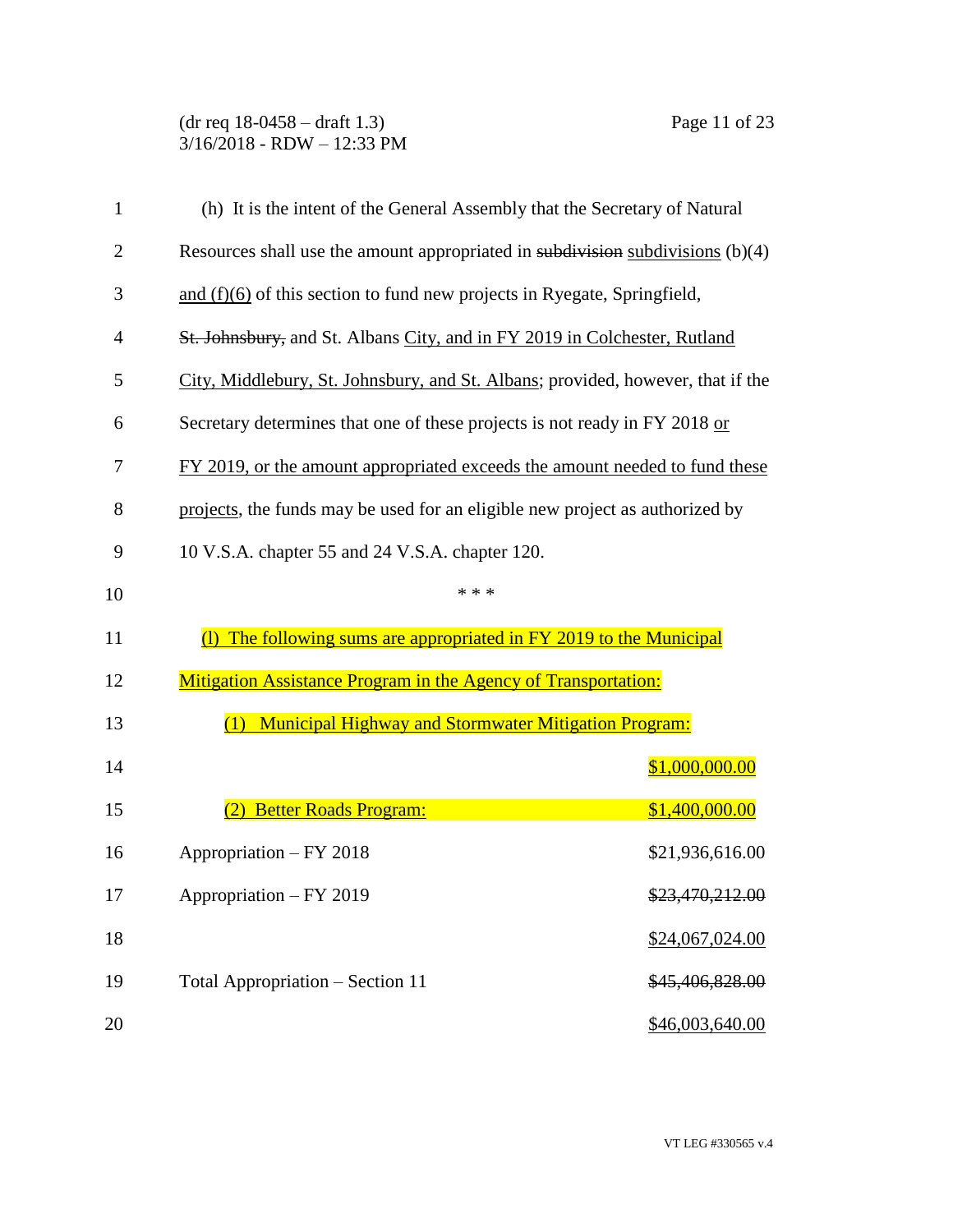(dr req 18-0458 – draft 1.3) Page 11 of 23 3/16/2018 - RDW – 12:33 PM

| $\mathbf{1}$   | (h) It is the intent of the General Assembly that the Secretary of Natural          |                 |
|----------------|-------------------------------------------------------------------------------------|-----------------|
| $\overline{2}$ | Resources shall use the amount appropriated in subdivision subdivisions $(b)(4)$    |                 |
| 3              | and $(f)(6)$ of this section to fund new projects in Ryegate, Springfield,          |                 |
| $\overline{4}$ | St. Johnsbury, and St. Albans City, and in FY 2019 in Colchester, Rutland           |                 |
| 5              | City, Middlebury, St. Johnsbury, and St. Albans; provided, however, that if the     |                 |
| 6              | Secretary determines that one of these projects is not ready in FY 2018 or          |                 |
| 7              | FY 2019, or the amount appropriated exceeds the amount needed to fund these         |                 |
| 8              | projects, the funds may be used for an eligible new project as authorized by        |                 |
| 9              | 10 V.S.A. chapter 55 and 24 V.S.A. chapter 120.                                     |                 |
| 10             | * * *                                                                               |                 |
| 11             | The following sums are appropriated in FY 2019 to the Municipal<br>$\left( \right)$ |                 |
| 12             | <b>Mitigation Assistance Program in the Agency of Transportation:</b>               |                 |
| 13             | <b>Municipal Highway and Stormwater Mitigation Program:</b><br>(1)                  |                 |
| 14             |                                                                                     | \$1,000,000.00  |
| 15             | <b>Better Roads Program:</b>                                                        | \$1,400,000.00  |
| 16             | Appropriation - FY 2018                                                             | \$21,936,616.00 |
| 17             | Appropriation - FY 2019                                                             | \$23,470,212.00 |
| 18             |                                                                                     | \$24,067,024.00 |
| 19             | Total Appropriation – Section 11                                                    | \$45,406,828.00 |
| 20             |                                                                                     | \$46,003,640.00 |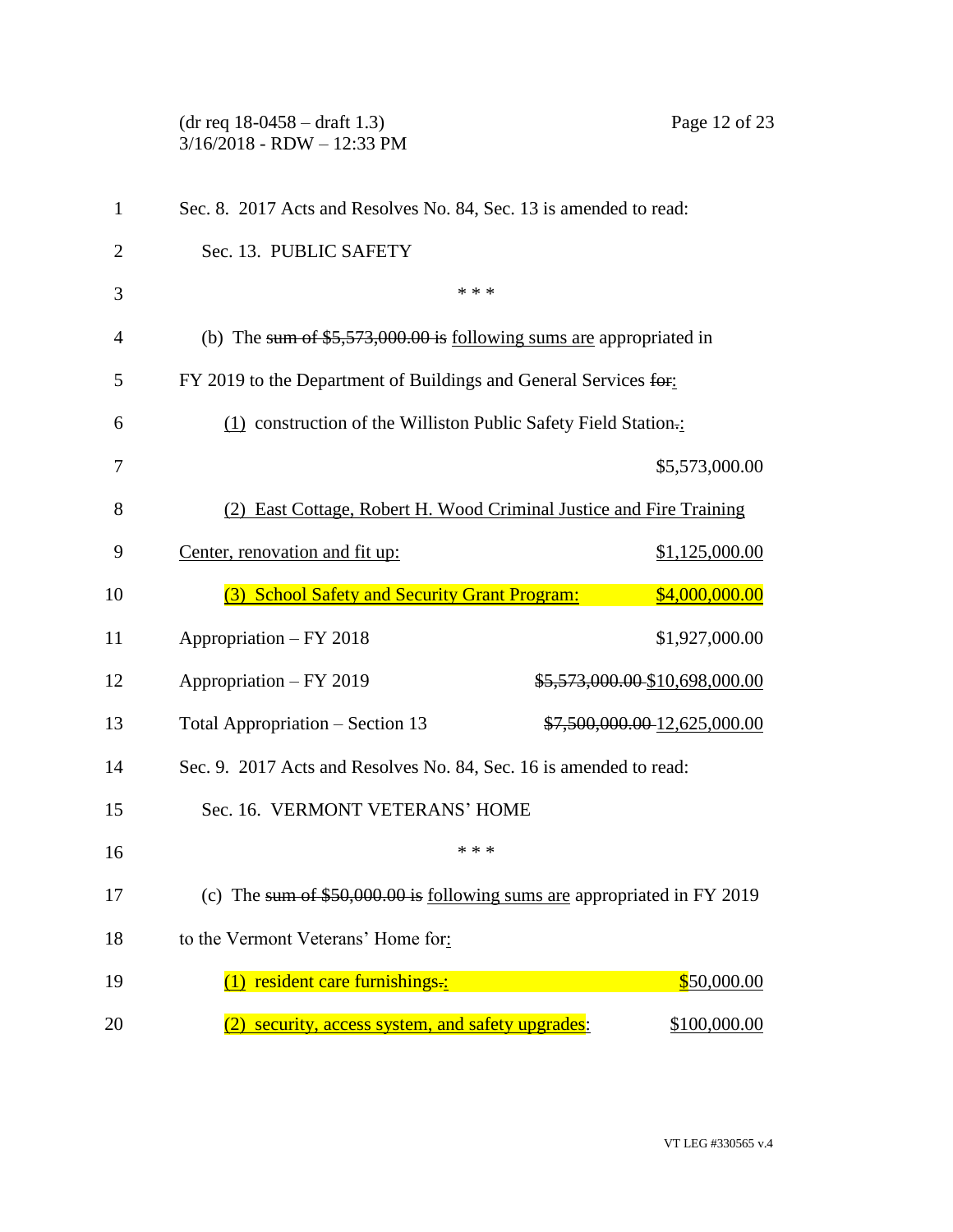(dr req 18-0458 – draft 1.3) Page 12 of 23 3/16/2018 - RDW – 12:33 PM Sec. 8. 2017 Acts and Resolves No. 84, Sec. 13 is amended to read: Sec. 13. PUBLIC SAFETY  $***$  (b) The sum of \$5,573,000.00 is following sums are appropriated in FY 2019 to the Department of Buildings and General Services for: (1) construction of the Williston Public Safety Field Station.: \$5,573,000.00 (2) East Cottage, Robert H. Wood Criminal Justice and Fire Training Center, renovation and fit up: \$1,125,000.00 (3) School Safety and Security Grant Program: \$4,000,000.00 Appropriation – FY 2018 \$1,927,000.00 12 Appropriation – FY 2019 \$5,573,000.00 \$10,698,000.00 13 Total Appropriation – Section 13  $\frac{$7,500,000.00}{12,625,000.00}$  Sec. 9. 2017 Acts and Resolves No. 84, Sec. 16 is amended to read: Sec. 16. VERMONT VETERANS' HOME \*\*\* 17 (c) The sum of \$50,000.00 is following sums are appropriated in FY 2019 to the Vermont Veterans' Home for:  $(1)$  resident care furnishings.:  $$50,000.00$ 20 (2) security, access system, and safety upgrades: \$100,000.00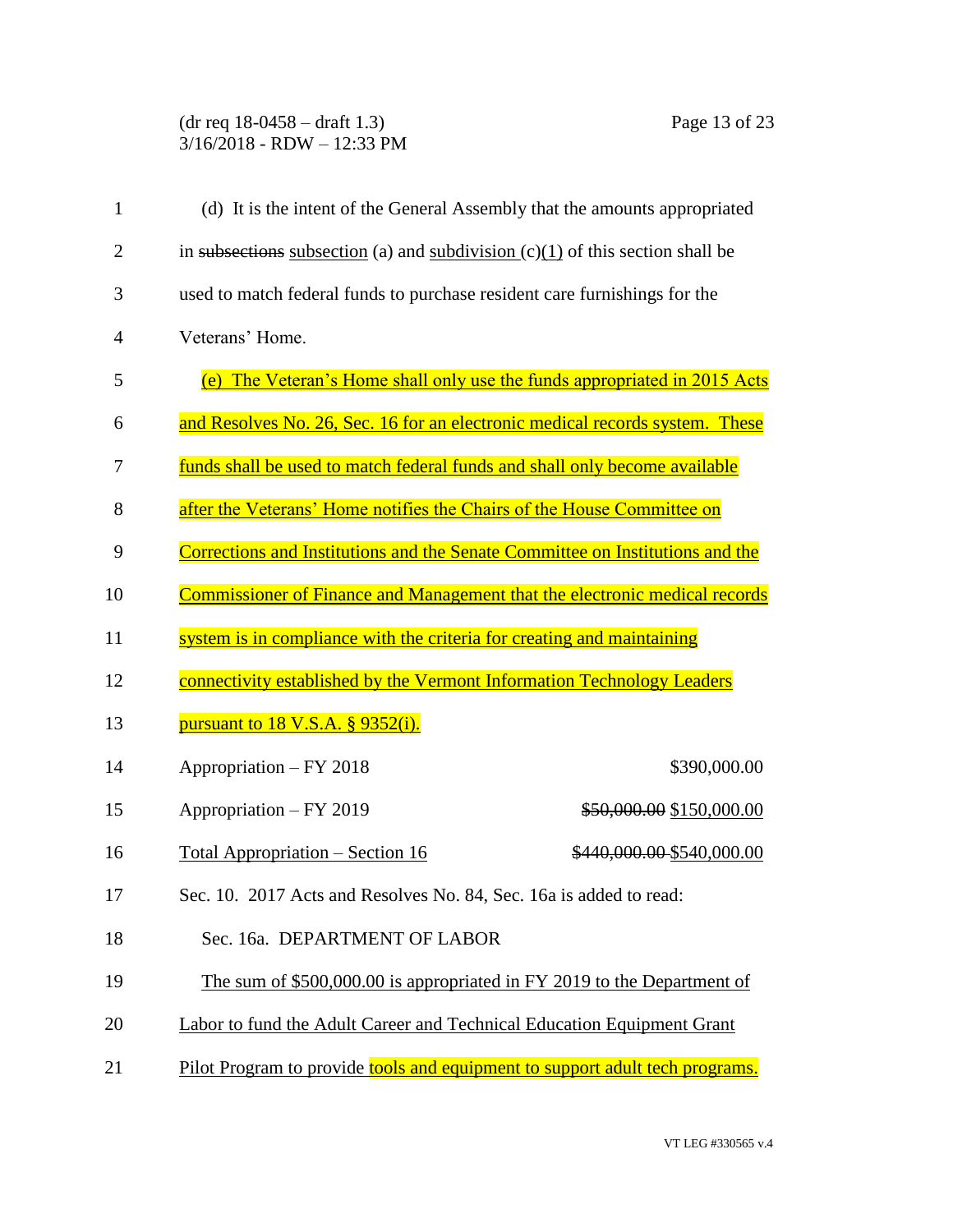## (dr req 18-0458 – draft 1.3) Page 13 of 23 3/16/2018 - RDW – 12:33 PM

| 1              | (d) It is the intent of the General Assembly that the amounts appropriated      |                           |
|----------------|---------------------------------------------------------------------------------|---------------------------|
| $\overline{c}$ | in subsections subsection (a) and subdivision $(c)(1)$ of this section shall be |                           |
| 3              | used to match federal funds to purchase resident care furnishings for the       |                           |
| 4              | Veterans' Home.                                                                 |                           |
| 5              | (e) The Veteran's Home shall only use the funds appropriated in 2015 Acts       |                           |
| 6              | and Resolves No. 26, Sec. 16 for an electronic medical records system. These    |                           |
| 7              | funds shall be used to match federal funds and shall only become available      |                           |
| 8              | after the Veterans' Home notifies the Chairs of the House Committee on          |                           |
| 9              | Corrections and Institutions and the Senate Committee on Institutions and the   |                           |
| 10             | Commissioner of Finance and Management that the electronic medical records      |                           |
| 11             | system is in compliance with the criteria for creating and maintaining          |                           |
| 12             | connectivity established by the Vermont Information Technology Leaders          |                           |
| 13             | pursuant to $18$ V.S.A. $\S$ 9352(i).                                           |                           |
| 14             | Appropriation - FY 2018                                                         | \$390,000.00              |
| 15             | Appropriation - FY 2019                                                         | \$50,000.00 \$150,000.00  |
| 16             | Total Appropriation – Section 16                                                | \$440,000.00 \$540,000.00 |
| 17             | Sec. 10. 2017 Acts and Resolves No. 84, Sec. 16a is added to read:              |                           |
| 18             | Sec. 16a. DEPARTMENT OF LABOR                                                   |                           |
| 19             | The sum of \$500,000.00 is appropriated in FY 2019 to the Department of         |                           |
| 20             | Labor to fund the Adult Career and Technical Education Equipment Grant          |                           |
| 21             | Pilot Program to provide tools and equipment to support adult tech programs.    |                           |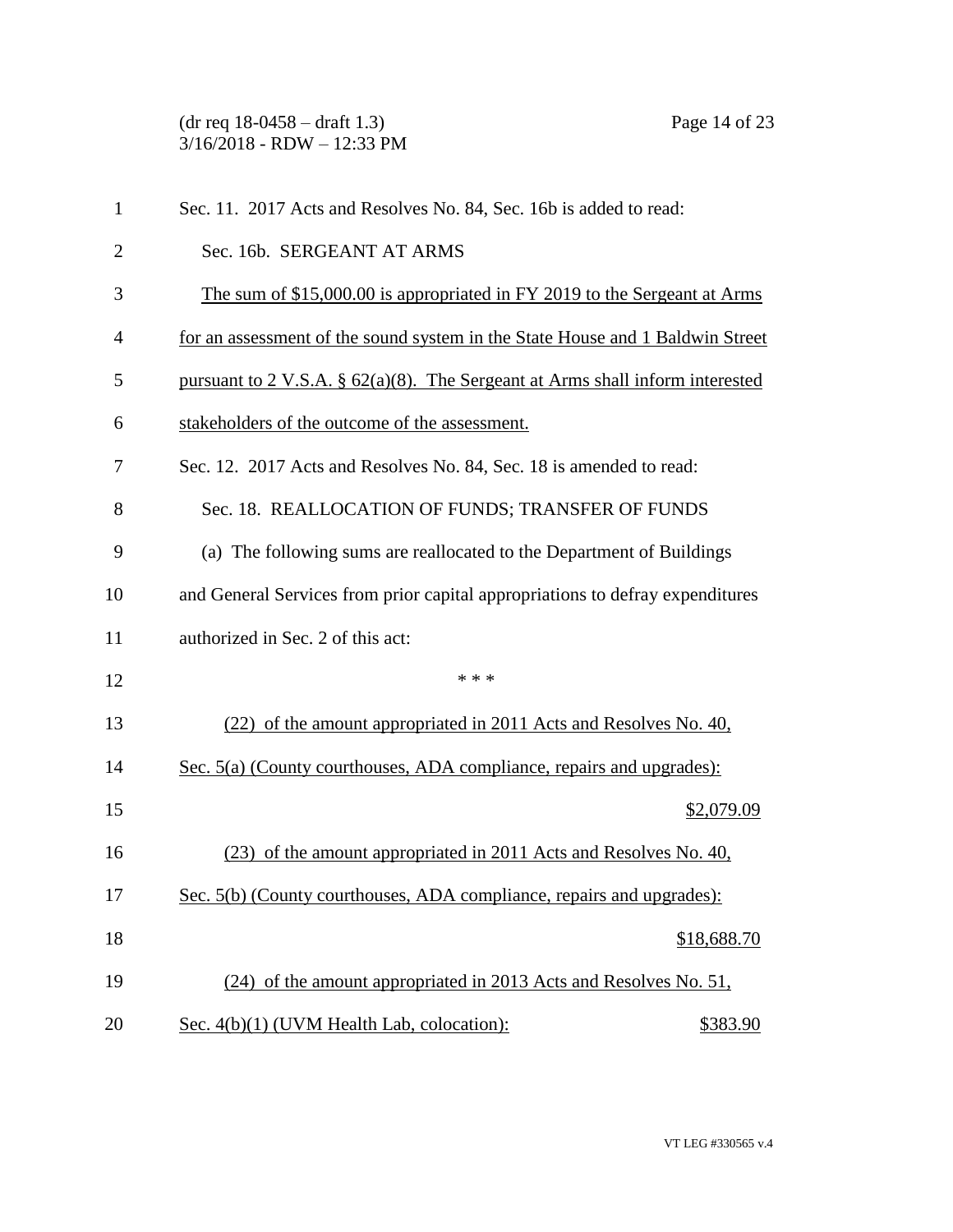(dr req 18-0458 – draft 1.3) Page 14 of 23 3/16/2018 - RDW – 12:33 PM

| 1              | Sec. 11. 2017 Acts and Resolves No. 84, Sec. 16b is added to read:               |
|----------------|----------------------------------------------------------------------------------|
| $\overline{2}$ | Sec. 16b. SERGEANT AT ARMS                                                       |
| 3              | The sum of \$15,000.00 is appropriated in FY 2019 to the Sergeant at Arms        |
| 4              | for an assessment of the sound system in the State House and 1 Baldwin Street    |
| 5              | pursuant to 2 V.S.A. $\S$ 62(a)(8). The Sergeant at Arms shall inform interested |
| 6              | stakeholders of the outcome of the assessment.                                   |
| 7              | Sec. 12. 2017 Acts and Resolves No. 84, Sec. 18 is amended to read:              |
| 8              | Sec. 18. REALLOCATION OF FUNDS; TRANSFER OF FUNDS                                |
| 9              | (a) The following sums are reallocated to the Department of Buildings            |
| 10             | and General Services from prior capital appropriations to defray expenditures    |
| 11             | authorized in Sec. 2 of this act:                                                |
| 12             | * * *                                                                            |
| 13             | (22) of the amount appropriated in 2011 Acts and Resolves No. 40,                |
| 14             | Sec. 5(a) (County courthouses, ADA compliance, repairs and upgrades):            |
| 15             | \$2,079.09                                                                       |
| 16             | (23) of the amount appropriated in 2011 Acts and Resolves No. 40,                |
| 17             | Sec. 5(b) (County courthouses, ADA compliance, repairs and upgrades):            |
| 18             | \$18,688.70                                                                      |
| 19             | (24) of the amount appropriated in 2013 Acts and Resolves No. 51,                |
| 20             | Sec. 4(b)(1) (UVM Health Lab, colocation):<br>\$383.90                           |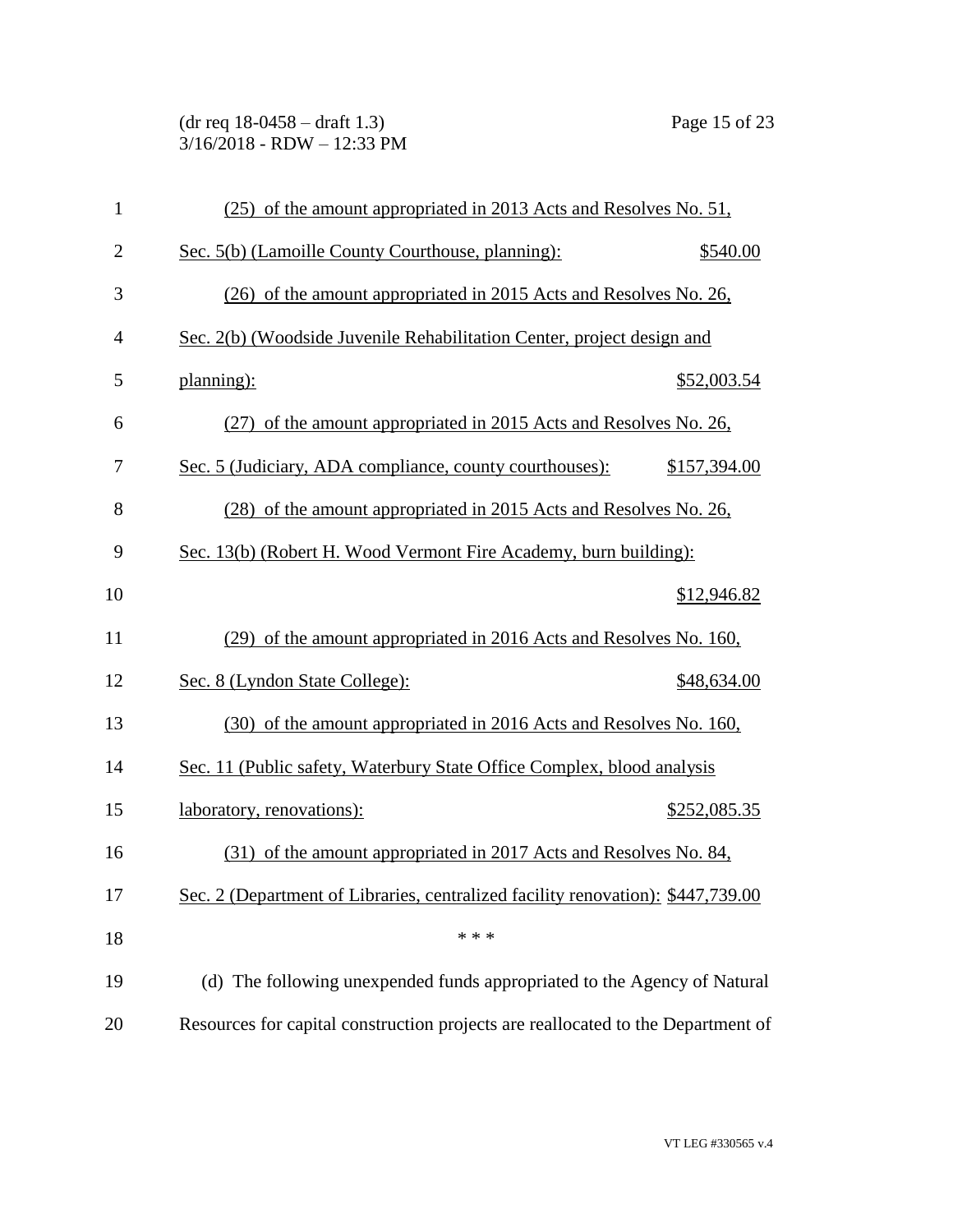(dr req 18-0458 – draft 1.3) Page 15 of 23 3/16/2018 - RDW – 12:33 PM

| $\mathbf{1}$   | (25) of the amount appropriated in 2013 Acts and Resolves No. 51,                |
|----------------|----------------------------------------------------------------------------------|
| $\mathbf{2}$   | Sec. 5(b) (Lamoille County Courthouse, planning):<br>\$540.00                    |
| 3              | (26) of the amount appropriated in 2015 Acts and Resolves No. 26,                |
| $\overline{4}$ | Sec. 2(b) (Woodside Juvenile Rehabilitation Center, project design and           |
| 5              | planning):<br>\$52,003.54                                                        |
| 6              | (27) of the amount appropriated in 2015 Acts and Resolves No. 26,                |
| 7              | Sec. 5 (Judiciary, ADA compliance, county courthouses):<br>\$157,394.00          |
| 8              | (28) of the amount appropriated in 2015 Acts and Resolves No. 26,                |
| 9              | Sec. 13(b) (Robert H. Wood Vermont Fire Academy, burn building):                 |
| 10             | \$12,946.82                                                                      |
| 11             | (29) of the amount appropriated in 2016 Acts and Resolves No. 160,               |
| 12             | Sec. 8 (Lyndon State College):<br>\$48,634.00                                    |
| 13             | (30) of the amount appropriated in 2016 Acts and Resolves No. 160,               |
| 14             | Sec. 11 (Public safety, Waterbury State Office Complex, blood analysis           |
| 15             | laboratory, renovations):<br>\$252,085.35                                        |
| 16             | (31) of the amount appropriated in 2017 Acts and Resolves No. 84,                |
| 17             | Sec. 2 (Department of Libraries, centralized facility renovation): \$447,739.00  |
| 18             | * * *                                                                            |
| 19             | (d) The following unexpended funds appropriated to the Agency of Natural         |
| 20             | Resources for capital construction projects are reallocated to the Department of |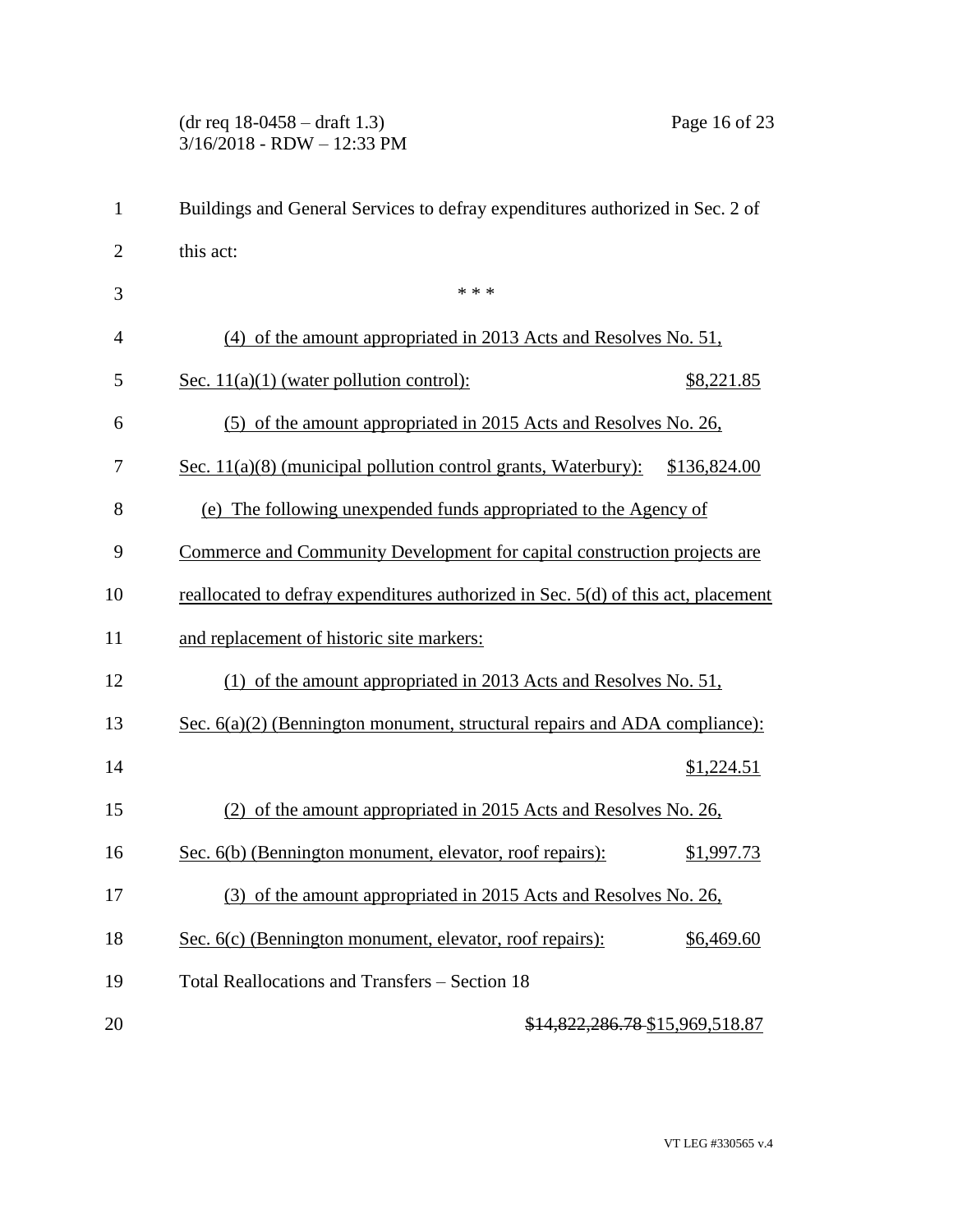(dr req 18-0458 – draft 1.3) Page 16 of 23 3/16/2018 - RDW – 12:33 PM

| 1              | Buildings and General Services to defray expenditures authorized in Sec. 2 of       |
|----------------|-------------------------------------------------------------------------------------|
| $\overline{2}$ | this act:                                                                           |
| 3              | * * *                                                                               |
| $\overline{4}$ | (4) of the amount appropriated in 2013 Acts and Resolves No. 51,                    |
| 5              | Sec. $11(a)(1)$ (water pollution control):<br>\$8,221.85                            |
| 6              | (5) of the amount appropriated in 2015 Acts and Resolves No. 26,                    |
| 7              | <u>Sec. 11(a)(8)</u> (municipal pollution control grants, Waterbury): $$136,824.00$ |
| 8              | (e) The following unexpended funds appropriated to the Agency of                    |
| 9              | Commerce and Community Development for capital construction projects are            |
| 10             | reallocated to defray expenditures authorized in Sec. 5(d) of this act, placement   |
| 11             | and replacement of historic site markers:                                           |
| 12             | (1) of the amount appropriated in 2013 Acts and Resolves No. 51,                    |
| 13             | Sec. $6(a)(2)$ (Bennington monument, structural repairs and ADA compliance):        |
| 14             | \$1,224.51                                                                          |
| 15             | (2) of the amount appropriated in 2015 Acts and Resolves No. 26,                    |
| 16             | Sec. 6(b) (Bennington monument, elevator, roof repairs):<br>\$1,997.73              |
| 17             | (3) of the amount appropriated in 2015 Acts and Resolves No. 26,                    |
| 18             | Sec. 6(c) (Bennington monument, elevator, roof repairs):<br>\$6,469.60              |
| 19             | Total Reallocations and Transfers – Section 18                                      |
| 20             | <u>\$14,822,286.78 \$15,969,518.87</u>                                              |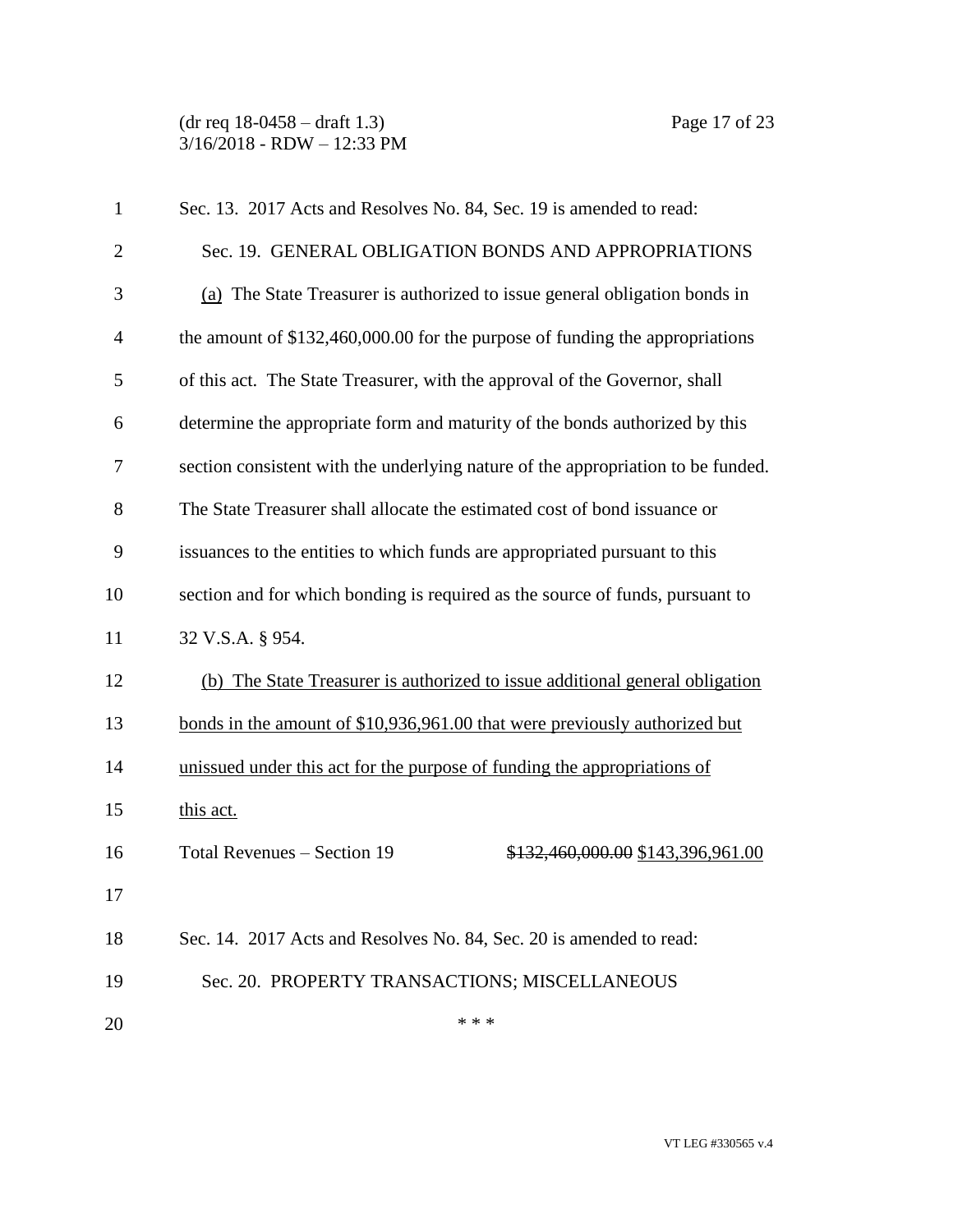(dr req 18-0458 – draft 1.3) Page 17 of 23 3/16/2018 - RDW – 12:33 PM

| $\mathbf{1}$   | Sec. 13. 2017 Acts and Resolves No. 84, Sec. 19 is amended to read:              |
|----------------|----------------------------------------------------------------------------------|
| $\overline{2}$ | Sec. 19. GENERAL OBLIGATION BONDS AND APPROPRIATIONS                             |
| 3              | (a) The State Treasurer is authorized to issue general obligation bonds in       |
| $\overline{4}$ | the amount of $$132,460,000.00$ for the purpose of funding the appropriations    |
| 5              | of this act. The State Treasurer, with the approval of the Governor, shall       |
| 6              | determine the appropriate form and maturity of the bonds authorized by this      |
| 7              | section consistent with the underlying nature of the appropriation to be funded. |
| 8              | The State Treasurer shall allocate the estimated cost of bond issuance or        |
| 9              | issuances to the entities to which funds are appropriated pursuant to this       |
| 10             | section and for which bonding is required as the source of funds, pursuant to    |
| 11             | 32 V.S.A. § 954.                                                                 |
| 12             | (b) The State Treasurer is authorized to issue additional general obligation     |
| 13             | bonds in the amount of \$10,936,961.00 that were previously authorized but       |
| 14             | unissued under this act for the purpose of funding the appropriations of         |
| 15             | this act.                                                                        |
| 16             | Total Revenues - Section 19<br>\$132,460,000.00 \$143,396,961.00                 |
| 17             |                                                                                  |
| 18             | Sec. 14. 2017 Acts and Resolves No. 84, Sec. 20 is amended to read:              |
| 19             | Sec. 20. PROPERTY TRANSACTIONS; MISCELLANEOUS                                    |
| 20             | * * *                                                                            |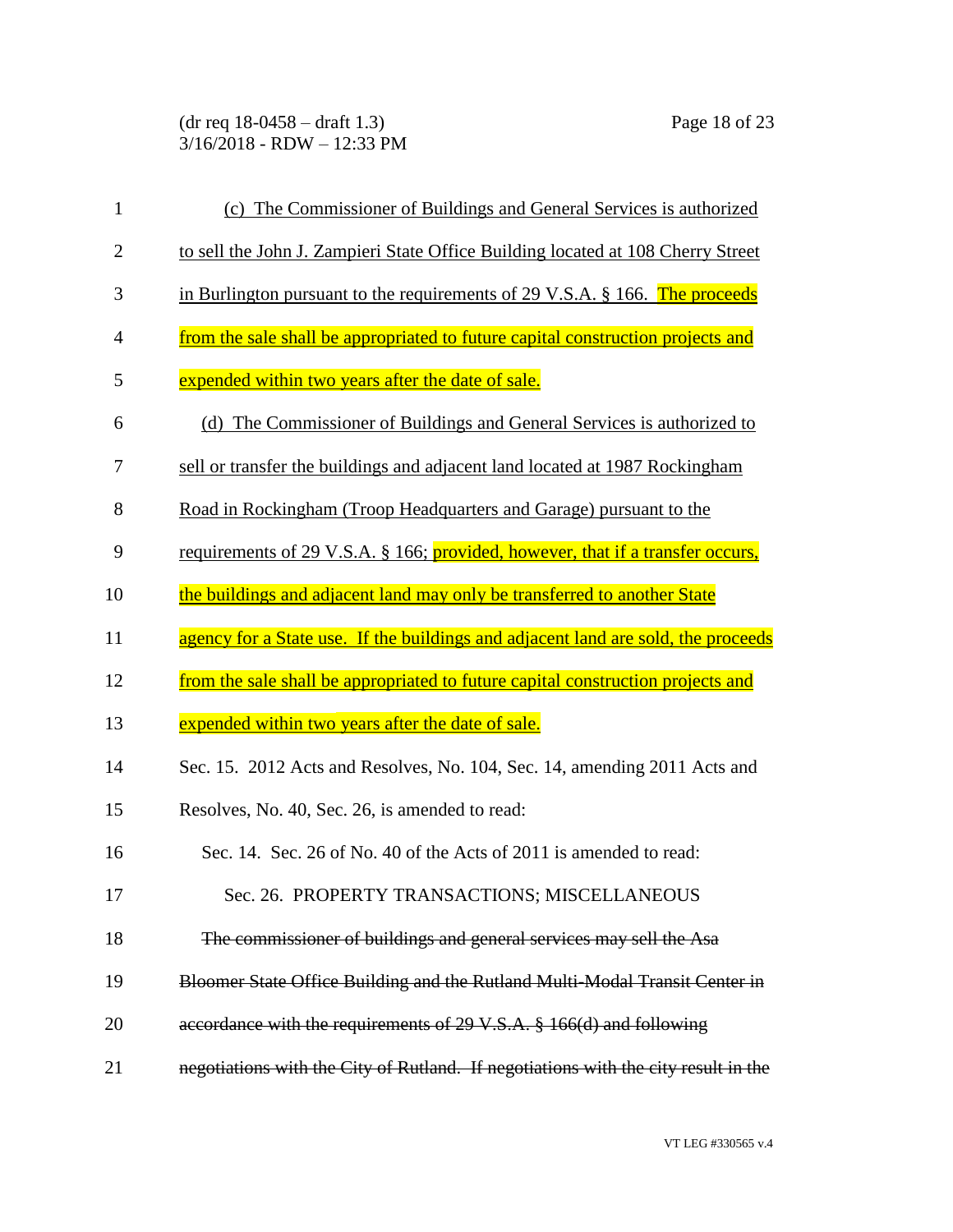(dr req 18-0458 – draft 1.3) Page 18 of 23 3/16/2018 - RDW – 12:33 PM

| $\mathbf{1}$   | (c) The Commissioner of Buildings and General Services is authorized                   |
|----------------|----------------------------------------------------------------------------------------|
| $\overline{2}$ | to sell the John J. Zampieri State Office Building located at 108 Cherry Street        |
| 3              | in Burlington pursuant to the requirements of $29 \text{ V.S.A. }$ § 166. The proceeds |
| $\overline{4}$ | from the sale shall be appropriated to future capital construction projects and        |
| 5              | expended within two years after the date of sale.                                      |
| 6              | (d) The Commissioner of Buildings and General Services is authorized to                |
| 7              | sell or transfer the buildings and adjacent land located at 1987 Rockingham            |
| 8              | Road in Rockingham (Troop Headquarters and Garage) pursuant to the                     |
| 9              | requirements of 29 V.S.A. § 166; provided, however, that if a transfer occurs,         |
| 10             | the buildings and adjacent land may only be transferred to another State               |
| 11             | agency for a State use. If the buildings and adjacent land are sold, the proceeds      |
| 12             | from the sale shall be appropriated to future capital construction projects and        |
| 13             | expended within two years after the date of sale.                                      |
| 14             | Sec. 15. 2012 Acts and Resolves, No. 104, Sec. 14, amending 2011 Acts and              |
| 15             | Resolves, No. 40, Sec. 26, is amended to read:                                         |
| 16             | Sec. 14. Sec. 26 of No. 40 of the Acts of 2011 is amended to read:                     |
| 17             | Sec. 26. PROPERTY TRANSACTIONS; MISCELLANEOUS                                          |
| 18             | The commissioner of buildings and general services may sell the Asa                    |
| 19             | Bloomer State Office Building and the Rutland Multi-Modal Transit Center in            |
| 20             | accordance with the requirements of 29 V.S.A. § 166(d) and following                   |
| 21             | negotiations with the City of Rutland. If negotiations with the city result in the     |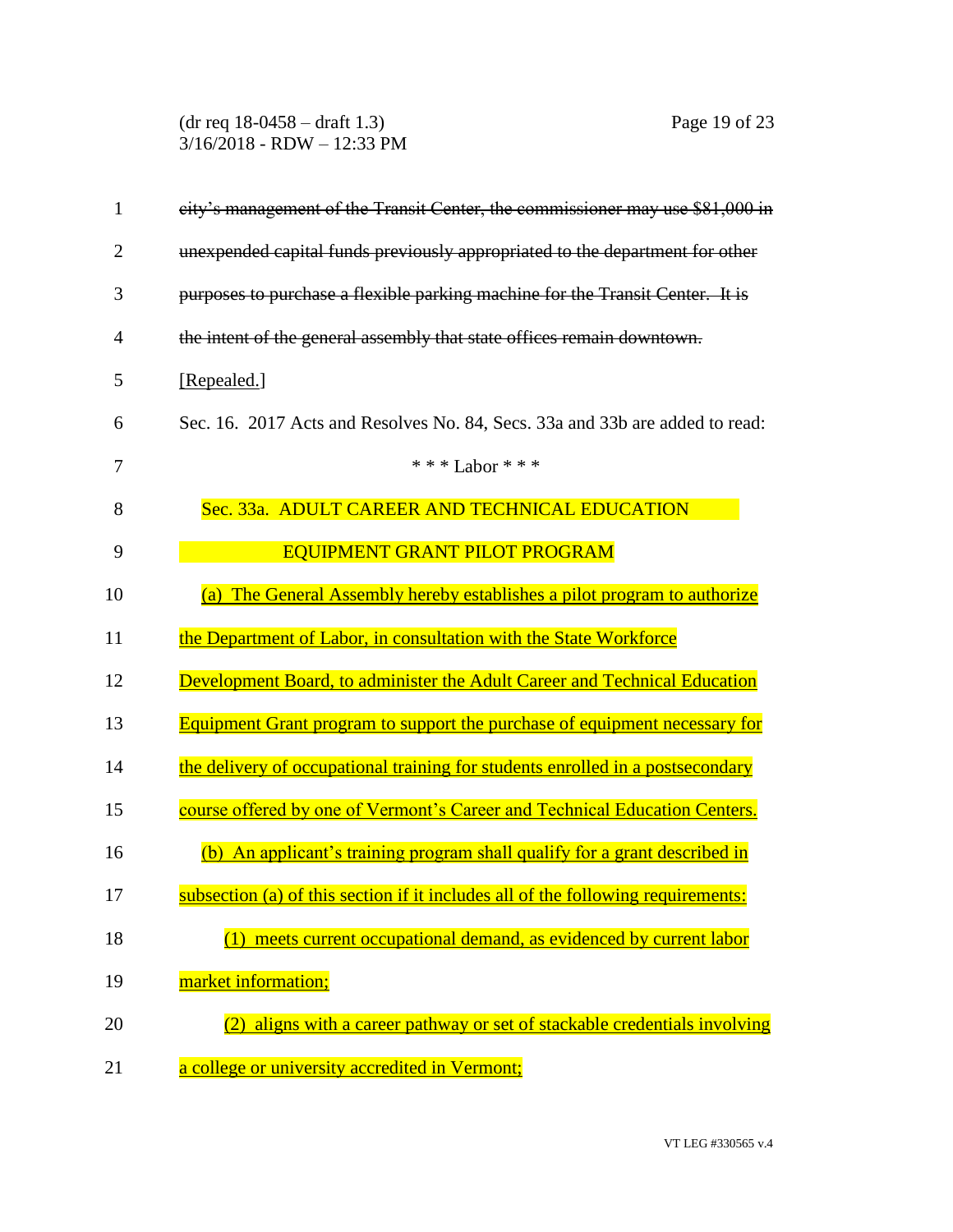(dr req 18-0458 – draft 1.3) Page 19 of 23 3/16/2018 - RDW – 12:33 PM

| $\mathbf{1}$   | city's management of the Transit Center, the commissioner may use \$81,000 in     |
|----------------|-----------------------------------------------------------------------------------|
| $\overline{2}$ | unexpended capital funds previously appropriated to the department for other      |
| 3              | purposes to purchase a flexible parking machine for the Transit Center. It is     |
| 4              | the intent of the general assembly that state offices remain downtown.            |
| 5              | [Repealed.]                                                                       |
| 6              | Sec. 16. 2017 Acts and Resolves No. 84, Secs. 33a and 33b are added to read:      |
| 7              | *** Labor ***                                                                     |
| 8              | Sec. 33a. ADULT CAREER AND TECHNICAL EDUCATION                                    |
| 9              | <b>EQUIPMENT GRANT PILOT PROGRAM</b>                                              |
| 10             | The General Assembly hereby establishes a pilot program to authorize<br>(a)       |
| 11             | the Department of Labor, in consultation with the State Workforce                 |
| 12             | Development Board, to administer the Adult Career and Technical Education         |
| 13             | <b>Equipment Grant program to support the purchase of equipment necessary for</b> |
| 14             | the delivery of occupational training for students enrolled in a postsecondary    |
| 15             | course offered by one of Vermont's Career and Technical Education Centers.        |
| 16             | An applicant's training program shall qualify for a grant described in<br>(b)     |
| 17             | subsection (a) of this section if it includes all of the following requirements:  |
| 18             | (1) meets current occupational demand, as evidenced by current labor              |
| 19             | market information;                                                               |
| 20             | aligns with a career pathway or set of stackable credentials involving            |
| 21             | a college or university accredited in Vermont;                                    |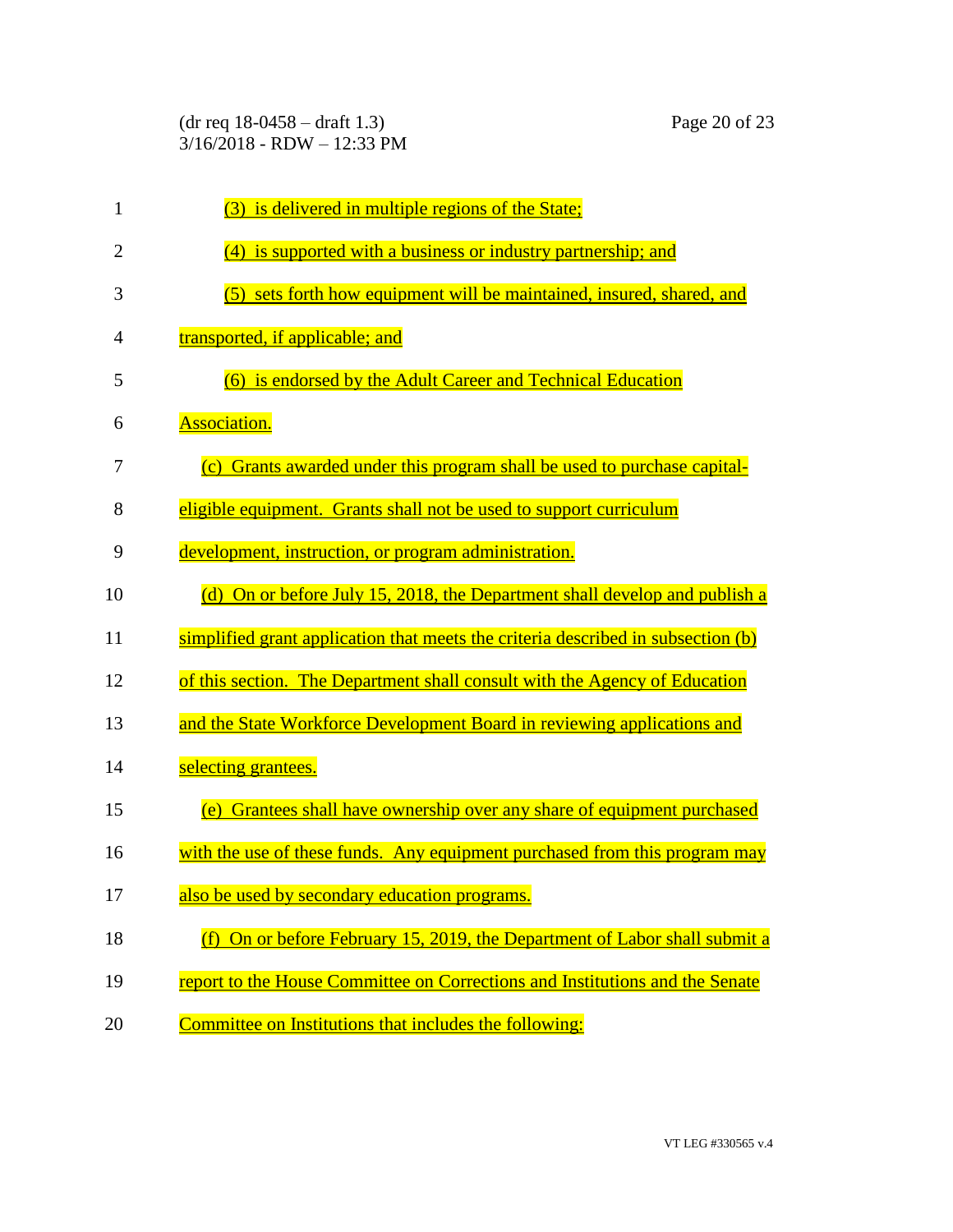| $\mathbf{1}$   | (3) is delivered in multiple regions of the State;                               |
|----------------|----------------------------------------------------------------------------------|
| $\overline{2}$ | is supported with a business or industry partnership; and<br>(4)                 |
| 3              | (5) sets forth how equipment will be maintained, insured, shared, and            |
| 4              | transported, if applicable; and                                                  |
| 5              | (6) is endorsed by the Adult Career and Technical Education                      |
| 6              | <b>Association.</b>                                                              |
| 7              | Grants awarded under this program shall be used to purchase capital-<br>(c)      |
| 8              | eligible equipment. Grants shall not be used to support curriculum               |
| 9              | development, instruction, or program administration.                             |
| 10             | (d) On or before July 15, 2018, the Department shall develop and publish a       |
| 11             | simplified grant application that meets the criteria described in subsection (b) |
| 12             | of this section. The Department shall consult with the Agency of Education       |
| 13             | and the State Workforce Development Board in reviewing applications and          |
| 14             | selecting grantees.                                                              |
| 15             | Grantees shall have ownership over any share of equipment purchased<br>(e)       |
| 16             | with the use of these funds. Any equipment purchased from this program may       |
| 17             | also be used by secondary education programs.                                    |
| 18             | On or before February 15, 2019, the Department of Labor shall submit a<br>(f)    |
| 19             | report to the House Committee on Corrections and Institutions and the Senate     |
| 20             | Committee on Institutions that includes the following:                           |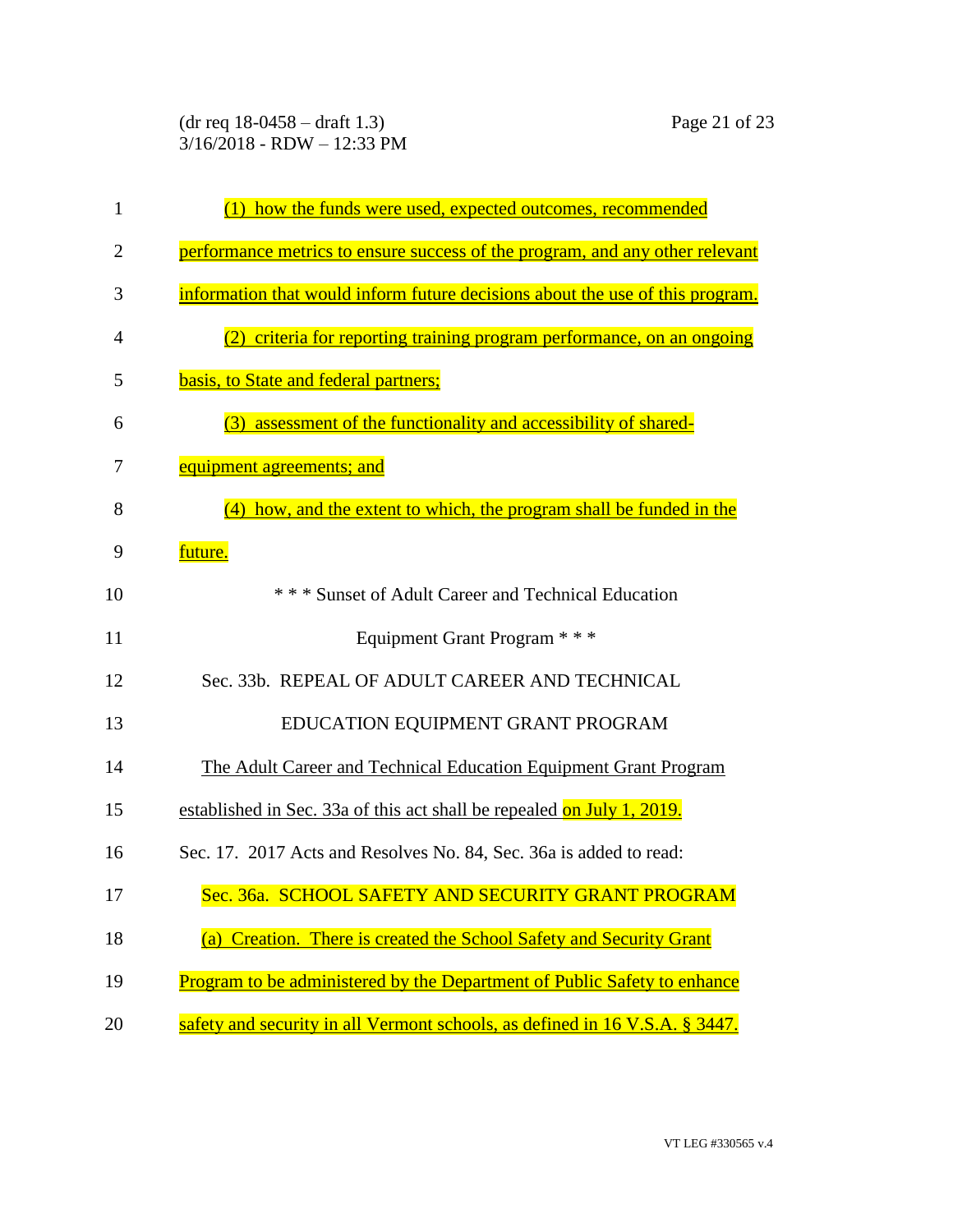(dr req 18-0458 – draft 1.3) Page 21 of 23 3/16/2018 - RDW – 12:33 PM

| 1              | how the funds were used, expected outcomes, recommended<br>(1)                |
|----------------|-------------------------------------------------------------------------------|
| $\overline{2}$ | performance metrics to ensure success of the program, and any other relevant  |
| 3              | information that would inform future decisions about the use of this program. |
| 4              | criteria for reporting training program performance, on an ongoing            |
| 5              | basis, to State and federal partners;                                         |
| 6              | assessment of the functionality and accessibility of shared-<br>(3)           |
| 7              | equipment agreements; and                                                     |
| 8              | how, and the extent to which, the program shall be funded in the              |
| 9              | future.                                                                       |
| 10             | *** Sunset of Adult Career and Technical Education                            |
| 11             | Equipment Grant Program * * *                                                 |
| 12             | Sec. 33b. REPEAL OF ADULT CAREER AND TECHNICAL                                |
| 13             | EDUCATION EQUIPMENT GRANT PROGRAM                                             |
| 14             | The Adult Career and Technical Education Equipment Grant Program              |
| 15             | established in Sec. 33a of this act shall be repealed on July 1, 2019.        |
| 16             | Sec. 17. 2017 Acts and Resolves No. 84, Sec. 36a is added to read:            |
| 17             | Sec. 36a. SCHOOL SAFETY AND SECURITY GRANT PROGRAM                            |
| 18             | (a) Creation. There is created the School Safety and Security Grant           |
| 19             | Program to be administered by the Department of Public Safety to enhance      |
| 20             | safety and security in all Vermont schools, as defined in 16 V.S.A. § 3447.   |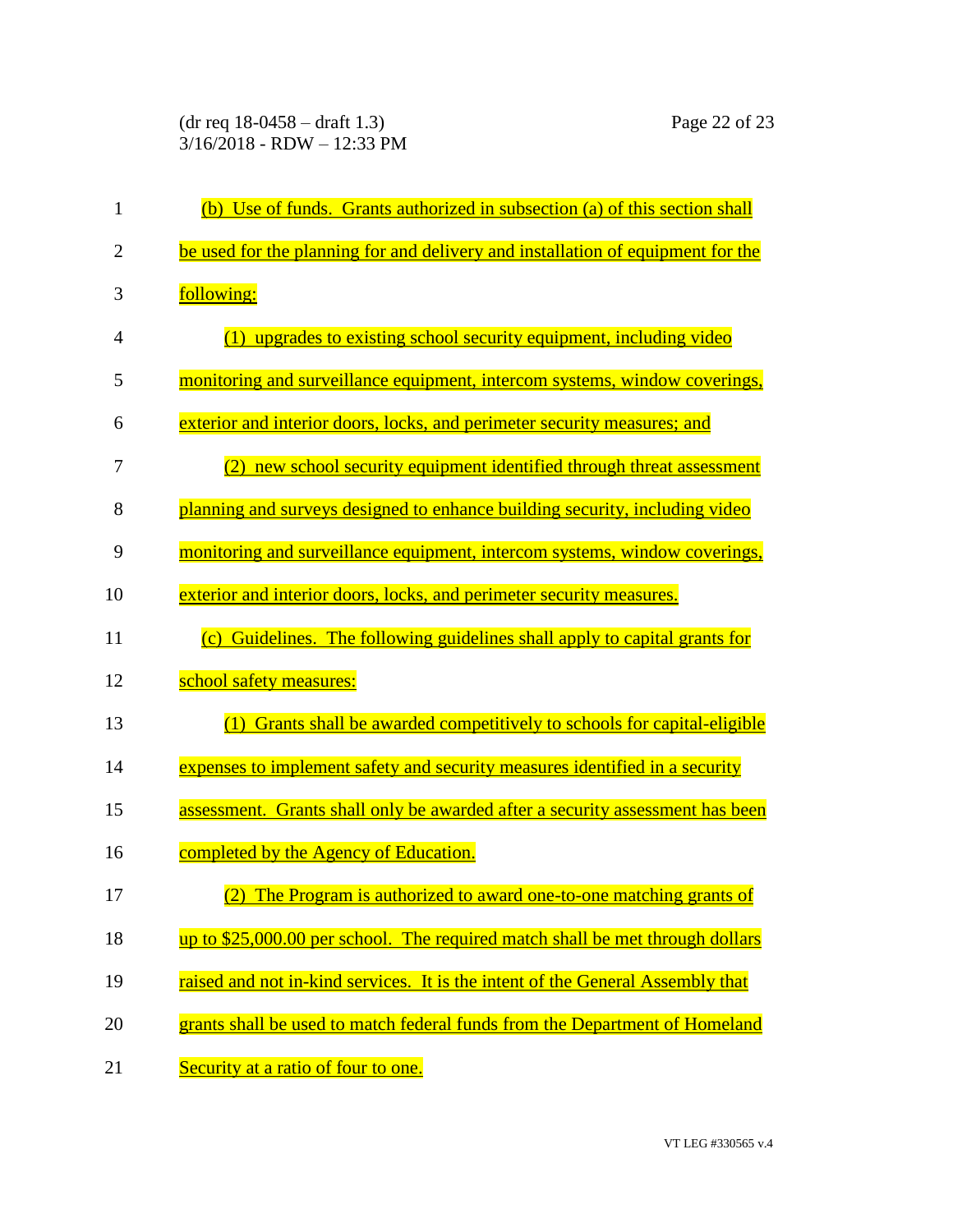| 1              | (b) Use of funds. Grants authorized in subsection (a) of this section shall     |
|----------------|---------------------------------------------------------------------------------|
| $\overline{c}$ | be used for the planning for and delivery and installation of equipment for the |
| 3              | following:                                                                      |
| 4              | upgrades to existing school security equipment, including video<br>(1)          |
| 5              | monitoring and surveillance equipment, intercom systems, window coverings,      |
| 6              | exterior and interior doors, locks, and perimeter security measures; and        |
| 7              | new school security equipment identified through threat assessment<br>(2)       |
| 8              | planning and surveys designed to enhance building security, including video     |
| 9              | monitoring and surveillance equipment, intercom systems, window coverings,      |
| 10             | exterior and interior doors, locks, and perimeter security measures.            |
| 11             | (c) Guidelines. The following guidelines shall apply to capital grants for      |
| 12             | school safety measures:                                                         |
| 13             | Grants shall be awarded competitively to schools for capital-eligible           |
| 14             | expenses to implement safety and security measures identified in a security     |
| 15             | assessment. Grants shall only be awarded after a security assessment has been   |
| 16             | completed by the Agency of Education.                                           |
| 17             | (2) The Program is authorized to award one-to-one matching grants of            |
| 18             | up to \$25,000.00 per school. The required match shall be met through dollars   |
| 19             | raised and not in-kind services. It is the intent of the General Assembly that  |
| 20             | grants shall be used to match federal funds from the Department of Homeland     |
| 21             | Security at a ratio of four to one.                                             |